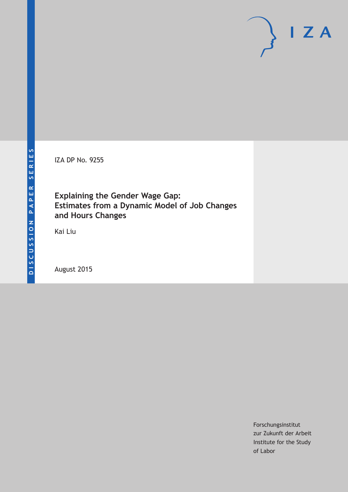IZA DP No. 9255

# **Explaining the Gender Wage Gap: Estimates from a Dynamic Model of Job Changes and Hours Changes**

Kai Liu

August 2015

Forschungsinstitut zur Zukunft der Arbeit Institute for the Study of Labor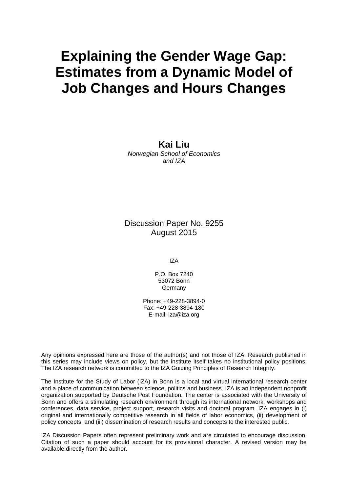# **Explaining the Gender Wage Gap: Estimates from a Dynamic Model of Job Changes and Hours Changes**

**Kai Liu**  *Norwegian School of Economics and IZA* 

Discussion Paper No. 9255 August 2015

IZA

P.O. Box 7240 53072 Bonn Germany

Phone: +49-228-3894-0 Fax: +49-228-3894-180 E-mail: iza@iza.org

Any opinions expressed here are those of the author(s) and not those of IZA. Research published in this series may include views on policy, but the institute itself takes no institutional policy positions. The IZA research network is committed to the IZA Guiding Principles of Research Integrity.

The Institute for the Study of Labor (IZA) in Bonn is a local and virtual international research center and a place of communication between science, politics and business. IZA is an independent nonprofit organization supported by Deutsche Post Foundation. The center is associated with the University of Bonn and offers a stimulating research environment through its international network, workshops and conferences, data service, project support, research visits and doctoral program. IZA engages in (i) original and internationally competitive research in all fields of labor economics, (ii) development of policy concepts, and (iii) dissemination of research results and concepts to the interested public.

IZA Discussion Papers often represent preliminary work and are circulated to encourage discussion. Citation of such a paper should account for its provisional character. A revised version may be available directly from the author.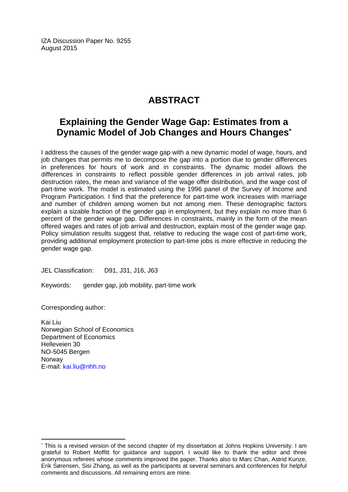IZA Discussion Paper No. 9255 August 2015

# **ABSTRACT**

# **Explaining the Gender Wage Gap: Estimates from a Dynamic Model of Job Changes and Hours Changes\***

I address the causes of the gender wage gap with a new dynamic model of wage, hours, and job changes that permits me to decompose the gap into a portion due to gender differences in preferences for hours of work and in constraints. The dynamic model allows the differences in constraints to reflect possible gender differences in job arrival rates, job destruction rates, the mean and variance of the wage offer distribution, and the wage cost of part-time work. The model is estimated using the 1996 panel of the Survey of Income and Program Participation. I find that the preference for part-time work increases with marriage and number of children among women but not among men. These demographic factors explain a sizable fraction of the gender gap in employment, but they explain no more than 6 percent of the gender wage gap. Differences in constraints, mainly in the form of the mean offered wages and rates of job arrival and destruction, explain most of the gender wage gap. Policy simulation results suggest that, relative to reducing the wage cost of part-time work, providing additional employment protection to part-time jobs is more effective in reducing the gender wage gap.

JEL Classification: D91, J31, J16, J63

Keywords: gender gap, job mobility, part-time work

Corresponding author:

 $\overline{a}$ 

Kai Liu Norwegian School of Economics Department of Economics Helleveien 30 NO-5045 Bergen **Norway** E-mail: kai.liu@nhh.no

<sup>\*</sup> This is a revised version of the second chapter of my dissertation at Johns Hopkins University. I am grateful to Robert Moffitt for guidance and support. I would like to thank the editor and three anonymous referees whose comments improved the paper. Thanks also to Marc Chan, Astrid Kunze, Erik Sørensen, Sisi Zhang, as well as the participants at several seminars and conferences for helpful comments and discussions. All remaining errors are mine.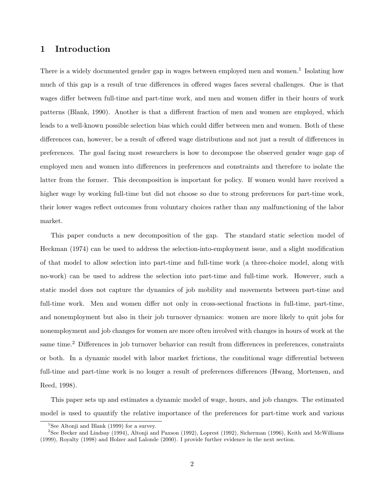# 1 Introduction

There is a widely documented gender gap in wages between employed men and women.<sup>1</sup> Isolating how much of this gap is a result of true differences in offered wages faces several challenges. One is that wages differ between full-time and part-time work, and men and women differ in their hours of work patterns (Blank, 1990). Another is that a different fraction of men and women are employed, which leads to a well-known possible selection bias which could differ between men and women. Both of these differences can, however, be a result of offered wage distributions and not just a result of differences in preferences. The goal facing most researchers is how to decompose the observed gender wage gap of employed men and women into differences in preferences and constraints and therefore to isolate the latter from the former. This decomposition is important for policy. If women would have received a higher wage by working full-time but did not choose so due to strong preferences for part-time work, their lower wages reflect outcomes from voluntary choices rather than any malfunctioning of the labor market.

This paper conducts a new decomposition of the gap. The standard static selection model of Heckman (1974) can be used to address the selection-into-employment issue, and a slight modification of that model to allow selection into part-time and full-time work (a three-choice model, along with no-work) can be used to address the selection into part-time and full-time work. However, such a static model does not capture the dynamics of job mobility and movements between part-time and full-time work. Men and women differ not only in cross-sectional fractions in full-time, part-time, and nonemployment but also in their job turnover dynamics: women are more likely to quit jobs for nonemployment and job changes for women are more often involved with changes in hours of work at the same time.<sup>2</sup> Differences in job turnover behavior can result from differences in preferences, constraints or both. In a dynamic model with labor market frictions, the conditional wage differential between full-time and part-time work is no longer a result of preferences differences (Hwang, Mortensen, and Reed, 1998).

This paper sets up and estimates a dynamic model of wage, hours, and job changes. The estimated model is used to quantify the relative importance of the preferences for part-time work and various

<sup>&</sup>lt;sup>1</sup>See Altonji and Blank (1999) for a survey.

<sup>2</sup>See Becker and Lindsay (1994), Altonji and Paxson (1992), Loprest (1992), Sicherman (1996), Keith and McWilliams (1999), Royalty (1998) and Holzer and Lalonde (2000). I provide further evidence in the next section.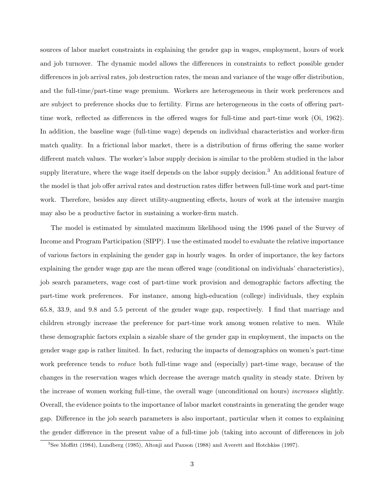sources of labor market constraints in explaining the gender gap in wages, employment, hours of work and job turnover. The dynamic model allows the differences in constraints to reflect possible gender differences in job arrival rates, job destruction rates, the mean and variance of the wage offer distribution, and the full-time/part-time wage premium. Workers are heterogeneous in their work preferences and are subject to preference shocks due to fertility. Firms are heterogeneous in the costs of offering parttime work, reflected as differences in the offered wages for full-time and part-time work (Oi, 1962). In addition, the baseline wage (full-time wage) depends on individual characteristics and worker-firm match quality. In a frictional labor market, there is a distribution of firms offering the same worker different match values. The worker's labor supply decision is similar to the problem studied in the labor supply literature, where the wage itself depends on the labor supply decision.<sup>3</sup> An additional feature of the model is that job offer arrival rates and destruction rates differ between full-time work and part-time work. Therefore, besides any direct utility-augmenting effects, hours of work at the intensive margin may also be a productive factor in sustaining a worker-firm match.

The model is estimated by simulated maximum likelihood using the 1996 panel of the Survey of Income and Program Participation (SIPP). I use the estimated model to evaluate the relative importance of various factors in explaining the gender gap in hourly wages. In order of importance, the key factors explaining the gender wage gap are the mean offered wage (conditional on individuals' characteristics), job search parameters, wage cost of part-time work provision and demographic factors affecting the part-time work preferences. For instance, among high-education (college) individuals, they explain 65.8, 33.9, and 9.8 and 5.5 percent of the gender wage gap, respectively. I find that marriage and children strongly increase the preference for part-time work among women relative to men. While these demographic factors explain a sizable share of the gender gap in employment, the impacts on the gender wage gap is rather limited. In fact, reducing the impacts of demographics on women's part-time work preference tends to *reduce* both full-time wage and (especially) part-time wage, because of the changes in the reservation wages which decrease the average match quality in steady state. Driven by the increase of women working full-time, the overall wage (unconditional on hours) increases slightly. Overall, the evidence points to the importance of labor market constraints in generating the gender wage gap. Difference in the job search parameters is also important, particular when it comes to explaining the gender difference in the present value of a full-time job (taking into account of differences in job

<sup>3</sup>See Moffitt (1984), Lundberg (1985), Altonji and Paxson (1988) and Averett and Hotchkiss (1997).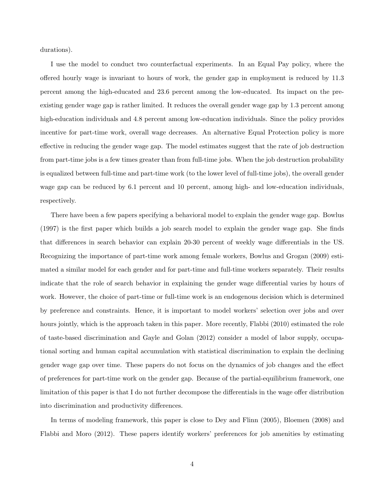durations).

I use the model to conduct two counterfactual experiments. In an Equal Pay policy, where the offered hourly wage is invariant to hours of work, the gender gap in employment is reduced by 11.3 percent among the high-educated and 23.6 percent among the low-educated. Its impact on the preexisting gender wage gap is rather limited. It reduces the overall gender wage gap by 1.3 percent among high-education individuals and 4.8 percent among low-education individuals. Since the policy provides incentive for part-time work, overall wage decreases. An alternative Equal Protection policy is more effective in reducing the gender wage gap. The model estimates suggest that the rate of job destruction from part-time jobs is a few times greater than from full-time jobs. When the job destruction probability is equalized between full-time and part-time work (to the lower level of full-time jobs), the overall gender wage gap can be reduced by 6.1 percent and 10 percent, among high- and low-education individuals, respectively.

There have been a few papers specifying a behavioral model to explain the gender wage gap. Bowlus (1997) is the first paper which builds a job search model to explain the gender wage gap. She finds that differences in search behavior can explain 20-30 percent of weekly wage differentials in the US. Recognizing the importance of part-time work among female workers, Bowlus and Grogan (2009) estimated a similar model for each gender and for part-time and full-time workers separately. Their results indicate that the role of search behavior in explaining the gender wage differential varies by hours of work. However, the choice of part-time or full-time work is an endogenous decision which is determined by preference and constraints. Hence, it is important to model workers' selection over jobs and over hours jointly, which is the approach taken in this paper. More recently, Flabbi (2010) estimated the role of taste-based discrimination and Gayle and Golan (2012) consider a model of labor supply, occupational sorting and human capital accumulation with statistical discrimination to explain the declining gender wage gap over time. These papers do not focus on the dynamics of job changes and the effect of preferences for part-time work on the gender gap. Because of the partial-equilibrium framework, one limitation of this paper is that I do not further decompose the differentials in the wage offer distribution into discrimination and productivity differences.

In terms of modeling framework, this paper is close to Dey and Flinn (2005), Bloemen (2008) and Flabbi and Moro (2012). These papers identify workers' preferences for job amenities by estimating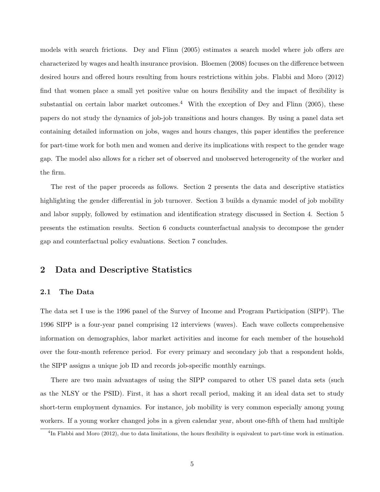models with search frictions. Dey and Flinn (2005) estimates a search model where job offers are characterized by wages and health insurance provision. Bloemen (2008) focuses on the difference between desired hours and offered hours resulting from hours restrictions within jobs. Flabbi and Moro (2012) find that women place a small yet positive value on hours flexibility and the impact of flexibility is substantial on certain labor market outcomes.<sup>4</sup> With the exception of Dey and Flinn (2005), these papers do not study the dynamics of job-job transitions and hours changes. By using a panel data set containing detailed information on jobs, wages and hours changes, this paper identifies the preference for part-time work for both men and women and derive its implications with respect to the gender wage gap. The model also allows for a richer set of observed and unobserved heterogeneity of the worker and the firm.

The rest of the paper proceeds as follows. Section 2 presents the data and descriptive statistics highlighting the gender differential in job turnover. Section 3 builds a dynamic model of job mobility and labor supply, followed by estimation and identification strategy discussed in Section 4. Section 5 presents the estimation results. Section 6 conducts counterfactual analysis to decompose the gender gap and counterfactual policy evaluations. Section 7 concludes.

# 2 Data and Descriptive Statistics

#### 2.1 The Data

The data set I use is the 1996 panel of the Survey of Income and Program Participation (SIPP). The 1996 SIPP is a four-year panel comprising 12 interviews (waves). Each wave collects comprehensive information on demographics, labor market activities and income for each member of the household over the four-month reference period. For every primary and secondary job that a respondent holds, the SIPP assigns a unique job ID and records job-specific monthly earnings.

There are two main advantages of using the SIPP compared to other US panel data sets (such as the NLSY or the PSID). First, it has a short recall period, making it an ideal data set to study short-term employment dynamics. For instance, job mobility is very common especially among young workers. If a young worker changed jobs in a given calendar year, about one-fifth of them had multiple

<sup>&</sup>lt;sup>4</sup>In Flabbi and Moro (2012), due to data limitations, the hours flexibility is equivalent to part-time work in estimation.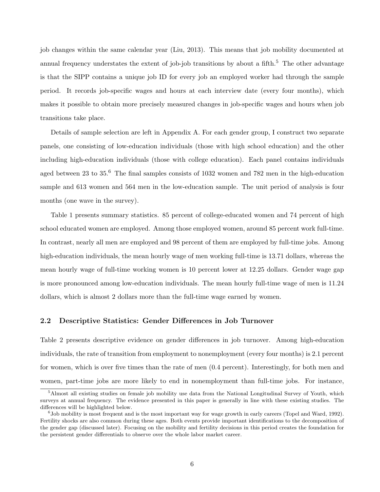job changes within the same calendar year (Liu, 2013). This means that job mobility documented at annual frequency understates the extent of job-job transitions by about a fifth.<sup>5</sup> The other advantage is that the SIPP contains a unique job ID for every job an employed worker had through the sample period. It records job-specific wages and hours at each interview date (every four months), which makes it possible to obtain more precisely measured changes in job-specific wages and hours when job transitions take place.

Details of sample selection are left in Appendix A. For each gender group, I construct two separate panels, one consisting of low-education individuals (those with high school education) and the other including high-education individuals (those with college education). Each panel contains individuals aged between 23 to  $35.6$  The final samples consists of 1032 women and 782 men in the high-education sample and 613 women and 564 men in the low-education sample. The unit period of analysis is four months (one wave in the survey).

Table 1 presents summary statistics. 85 percent of college-educated women and 74 percent of high school educated women are employed. Among those employed women, around 85 percent work full-time. In contrast, nearly all men are employed and 98 percent of them are employed by full-time jobs. Among high-education individuals, the mean hourly wage of men working full-time is 13.71 dollars, whereas the mean hourly wage of full-time working women is 10 percent lower at 12.25 dollars. Gender wage gap is more pronounced among low-education individuals. The mean hourly full-time wage of men is 11.24 dollars, which is almost 2 dollars more than the full-time wage earned by women.

#### 2.2 Descriptive Statistics: Gender Differences in Job Turnover

Table 2 presents descriptive evidence on gender differences in job turnover. Among high-education individuals, the rate of transition from employment to nonemployment (every four months) is 2.1 percent for women, which is over five times than the rate of men (0.4 percent). Interestingly, for both men and women, part-time jobs are more likely to end in nonemployment than full-time jobs. For instance,

<sup>&</sup>lt;sup>5</sup>Almost all existing studies on female job mobility use data from the National Longitudinal Survey of Youth, which surveys at annual frequency. The evidence presented in this paper is generally in line with these existing studies. The differences will be highlighted below.

<sup>6</sup> Job mobility is most frequent and is the most important way for wage growth in early careers (Topel and Ward, 1992). Fertility shocks are also common during these ages. Both events provide important identifications to the decomposition of the gender gap (discussed later). Focusing on the mobility and fertility decisions in this period creates the foundation for the persistent gender differentials to observe over the whole labor market career.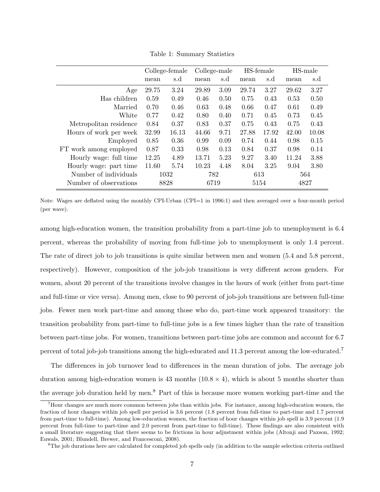|                        | College-female |       |       | College-male |       | HS-female |       | HS-male |
|------------------------|----------------|-------|-------|--------------|-------|-----------|-------|---------|
|                        | mean           | s.d   | mean  | s.d          | mean  | s.d       | mean  | s.d     |
| Age                    | 29.75          | 3.24  | 29.89 | 3.09         | 29.74 | 3.27      | 29.62 | 3.27    |
| Has children           | 0.59           | 0.49  | 0.46  | 0.50         | 0.75  | 0.43      | 0.53  | 0.50    |
| Married                | 0.70           | 0.46  | 0.63  | 0.48         | 0.66  | 0.47      | 0.61  | 0.49    |
| White                  | 0.77           | 0.42  | 0.80  | 0.40         | 0.71  | 0.45      | 0.73  | 0.45    |
| Metropolitan residence | 0.84           | 0.37  | 0.83  | 0.37         | 0.75  | 0.43      | 0.75  | 0.43    |
| Hours of work per week | 32.99          | 16.13 | 44.66 | 9.71         | 27.88 | 17.92     | 42.00 | 10.08   |
| Employed               | 0.85           | 0.36  | 0.99  | 0.09         | 0.74  | 0.44      | 0.98  | 0.15    |
| FT work among employed | 0.87           | 0.33  | 0.98  | 0.13         | 0.84  | 0.37      | 0.98  | 0.14    |
| Hourly wage: full time | 12.25          | 4.89  | 13.71 | 5.23         | 9.27  | 3.40      | 11.24 | 3.88    |
| Hourly wage: part time | 11.60          | 5.74  | 10.23 | 4.48         | 8.04  | 3.25      | 9.04  | 3.80    |
| Number of individuals  |                | 1032  | 782   |              | 613   |           | 564   |         |
| Number of observations |                | 8828  | 6719  |              | 5154  |           | 4827  |         |

Table 1: Summary Statistics

Note: Wages are deflated using the monthly CPI-Urban (CPI=1 in 1996:1) and then averaged over a four-month period (per wave).

among high-education women, the transition probability from a part-time job to unemployment is 6.4 percent, whereas the probability of moving from full-time job to unemployment is only 1.4 percent. The rate of direct job to job transitions is quite similar between men and women (5.4 and 5.8 percent, respectively). However, composition of the job-job transitions is very different across genders. For women, about 20 percent of the transitions involve changes in the hours of work (either from part-time and full-time or vice versa). Among men, close to 90 percent of job-job transitions are between full-time jobs. Fewer men work part-time and among those who do, part-time work appeared transitory: the transition probability from part-time to full-time jobs is a few times higher than the rate of transition between part-time jobs. For women, transitions between part-time jobs are common and account for 6.7 percent of total job-job transitions among the high-educated and 11.3 percent among the low-educated.<sup>7</sup>

The differences in job turnover lead to differences in the mean duration of jobs. The average job duration among high-education women is 43 months  $(10.8 \times 4)$ , which is about 5 months shorter than the average job duration held by men.<sup>8</sup> Part of this is because more women working part-time and the

 $^7$ Hour changes are much more common between jobs than within jobs. For instance, among high-education women, the fraction of hour changes within job spell per period is 3.6 percent (1.8 percent from full-time to part-time and 1.7 percent from part-time to full-time). Among low-education women, the fraction of hour changes within job spell is 3.9 percent (1.9 percent from full-time to part-time and 2.0 percent from part-time to full-time). These findings are also consistent with a small literature suggesting that there seems to be frictions in hour adjustment within jobs (Altonji and Paxson, 1992; Euwals, 2001; Blundell, Brewer, and Francesconi, 2008).

<sup>&</sup>lt;sup>8</sup>The job durations here are calculated for completed job spells only (in addition to the sample selection criteria outlined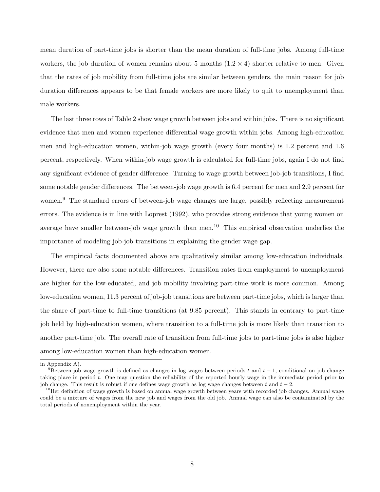mean duration of part-time jobs is shorter than the mean duration of full-time jobs. Among full-time workers, the job duration of women remains about 5 months  $(1.2 \times 4)$  shorter relative to men. Given that the rates of job mobility from full-time jobs are similar between genders, the main reason for job duration differences appears to be that female workers are more likely to quit to unemployment than male workers.

The last three rows of Table 2 show wage growth between jobs and within jobs. There is no significant evidence that men and women experience differential wage growth within jobs. Among high-education men and high-education women, within-job wage growth (every four months) is 1.2 percent and 1.6 percent, respectively. When within-job wage growth is calculated for full-time jobs, again I do not find any significant evidence of gender difference. Turning to wage growth between job-job transitions, I find some notable gender differences. The between-job wage growth is 6.4 percent for men and 2.9 percent for women.<sup>9</sup> The standard errors of between-job wage changes are large, possibly reflecting measurement errors. The evidence is in line with Loprest (1992), who provides strong evidence that young women on average have smaller between-job wage growth than men.<sup>10</sup> This empirical observation underlies the importance of modeling job-job transitions in explaining the gender wage gap.

The empirical facts documented above are qualitatively similar among low-education individuals. However, there are also some notable differences. Transition rates from employment to unemployment are higher for the low-educated, and job mobility involving part-time work is more common. Among low-education women, 11.3 percent of job-job transitions are between part-time jobs, which is larger than the share of part-time to full-time transitions (at 9.85 percent). This stands in contrary to part-time job held by high-education women, where transition to a full-time job is more likely than transition to another part-time job. The overall rate of transition from full-time jobs to part-time jobs is also higher among low-education women than high-education women.

in Appendix A).

<sup>&</sup>lt;sup>9</sup>Between-job wage growth is defined as changes in log wages between periods t and  $t - 1$ , conditional on job change taking place in period t. One may question the reliability of the reported hourly wage in the immediate period prior to job change. This result is robust if one defines wage growth as log wage changes between t and  $t - 2$ .

 $10$ Her definition of wage growth is based on annual wage growth between years with recorded job changes. Annual wage could be a mixture of wages from the new job and wages from the old job. Annual wage can also be contaminated by the total periods of nonemployment within the year.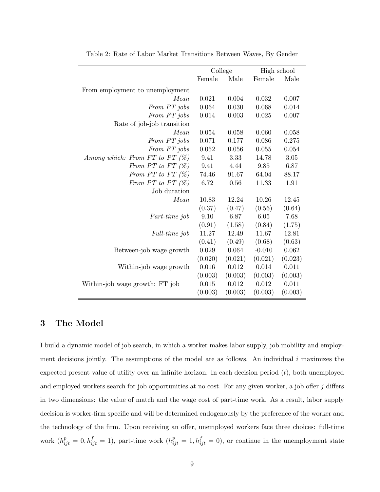|                                   | College |         | High school |         |
|-----------------------------------|---------|---------|-------------|---------|
|                                   | Female  | Male    | Female      | Male    |
| From employment to unemployment   |         |         |             |         |
| Mean                              | 0.021   | 0.004   | 0.032       | 0.007   |
| From PT jobs                      | 0.064   | 0.030   | 0.068       | 0.014   |
| From FT jobs                      | 0.014   | 0.003   | 0.025       | 0.007   |
| Rate of job-job transition        |         |         |             |         |
| Mean                              | 0.054   | 0.058   | 0.060       | 0.058   |
| From PT jobs                      | 0.071   | 0.177   | 0.086       | 0.275   |
| From FT jobs                      | 0.052   | 0.056   | 0.055       | 0.054   |
| Among which: From FT to PT $(\%)$ | 9.41    | 3.33    | 14.78       | 3.05    |
| From PT to FT $(\%)$              | 9.41    | 4.44    | 9.85        | 6.87    |
| From FT to FT $(\%)$              | 74.46   | 91.67   | 64.04       | 88.17   |
| From PT to PT $(\%)$              | 6.72    | 0.56    | 11.33       | 1.91    |
| Job duration                      |         |         |             |         |
| Mean                              | 10.83   | 12.24   | 10.26       | 12.45   |
|                                   | (0.37)  | (0.47)  | (0.56)      | (0.64)  |
| Part-time job                     | 9.10    | 6.87    | 6.05        | 7.68    |
|                                   | (0.91)  | (1.58)  | (0.84)      | (1.75)  |
| Full-time job                     | 11.27   | 12.49   | 11.67       | 12.81   |
|                                   | (0.41)  | (0.49)  | (0.68)      | (0.63)  |
| Between-job wage growth           | 0.029   | 0.064   | $-0.010$    | 0.062   |
|                                   | (0.020) | (0.021) | (0.021)     | (0.023) |
| Within-job wage growth            | 0.016   | 0.012   | 0.014       | 0.011   |
|                                   | (0.003) | (0.003) | (0.003)     | (0.003) |
| Within-job wage growth: FT job    | 0.015   | 0.012   | 0.012       | 0.011   |
|                                   | (0.003) | (0.003) | (0.003)     | (0.003) |

Table 2: Rate of Labor Market Transitions Between Waves, By Gender

# 3 The Model

I build a dynamic model of job search, in which a worker makes labor supply, job mobility and employment decisions jointly. The assumptions of the model are as follows. An individual  $i$  maximizes the expected present value of utility over an infinite horizon. In each decision period  $(t)$ , both unemployed and employed workers search for job opportunities at no cost. For any given worker, a job offer j differs in two dimensions: the value of match and the wage cost of part-time work. As a result, labor supply decision is worker-firm specific and will be determined endogenously by the preference of the worker and the technology of the firm. Upon receiving an offer, unemployed workers face three choices: full-time work  $(h_{ijt}^p = 0, h_{ijt}^f = 1)$ , part-time work  $(h_{ijt}^p = 1, h_{ijt}^f = 0)$ , or continue in the unemployment state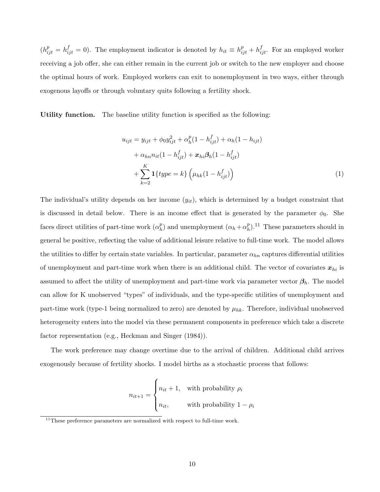$(h_{ijt}^p = h_{ijt}^f = 0)$ . The employment indicator is denoted by  $h_{it} \equiv h_{ijt}^p + h_{ijt}^f$ . For an employed worker receiving a job offer, she can either remain in the current job or switch to the new employer and choose the optimal hours of work. Employed workers can exit to nonemployment in two ways, either through exogenous layoffs or through voluntary quits following a fertility shock.

Utility function. The baseline utility function is specified as the following:

$$
u_{ijt} = y_{ijt} + \phi_0 y_{ijt}^2 + \alpha_h^p (1 - h_{ijt}^f) + \alpha_h (1 - h_{ijt})
$$
  
+  $\alpha_{hn} n_{it} (1 - h_{ijt}^f) + \mathbf{x}_{hi} \beta_h (1 - h_{ijt}^f)$   
+  $\sum_{k=2}^K \mathbf{1} \{ type = k \} \left( \mu_{hk} (1 - h_{ijt}^f) \right)$  (1)

The individual's utility depends on her income  $(y_{it})$ , which is determined by a budget constraint that is discussed in detail below. There is an income effect that is generated by the parameter  $\phi_0$ . She faces direct utilities of part-time work  $(\alpha_h^p)$  $\binom{p}{h}$  and unemployment  $(\alpha_h + \alpha_h^p)$  $_{h}^{p}$ ).<sup>11</sup> These parameters should in general be positive, reflecting the value of additional leisure relative to full-time work. The model allows the utilities to differ by certain state variables. In particular, parameter  $\alpha_{hn}$  captures differential utilities of unemployment and part-time work when there is an additional child. The vector of covariates  $x_{hi}$  is assumed to affect the utility of unemployment and part-time work via parameter vector  $\beta_h$ . The model can allow for K unobserved "types" of individuals, and the type-specific utilities of unemployment and part-time work (type-1 being normalized to zero) are denoted by  $\mu_{hk}$ . Therefore, individual unobserved heterogeneity enters into the model via these permanent components in preference which take a discrete factor representation (e.g., Heckman and Singer (1984)).

The work preference may change overtime due to the arrival of children. Additional child arrives exogenously because of fertility shocks. I model births as a stochastic process that follows:

$$
n_{it+1} = \begin{cases} n_{it} + 1, & \text{with probability } \rho_i \\ n_{it}, & \text{with probability } 1 - \rho_i \end{cases}
$$

 $\frac{11}{11}$ These preference parameters are normalized with respect to full-time work.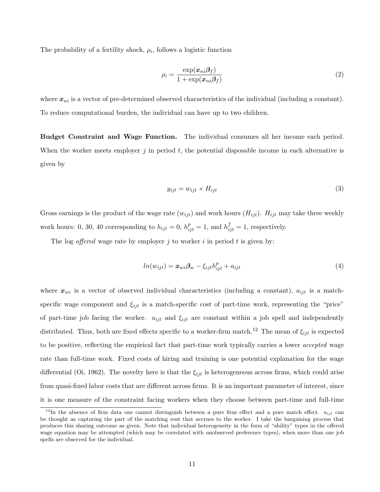The probability of a fertility shock,  $\rho_i$ , follows a logistic function

$$
\rho_i = \frac{\exp(\boldsymbol{x}_{ni}\boldsymbol{\beta}_f)}{1 + \exp(\boldsymbol{x}_{ni}\boldsymbol{\beta}_f)}
$$
(2)

where  $x_{ni}$  is a vector of pre-determined observed characteristics of the individual (including a constant). To reduce computational burden, the individual can have up to two children.

Budget Constraint and Wage Function. The individual consumes all her income each period. When the worker meets employer j in period t, the potential disposable income in each alternative is given by

$$
y_{ijt} = w_{ijt} \times H_{ijt} \tag{3}
$$

Gross earnings is the product of the wage rate  $(w_{ijt})$  and work hours  $(H_{ijt})$ .  $H_{ijt}$  may take three weekly work hours: 0, 30, 40 corresponding to  $h_{ijt} = 0$ ,  $h_{ijt}^p = 1$ , and  $h_{ijt}^f = 1$ , respectively.

The log *offered* wage rate by employer j to worker i in period t is given by:

$$
ln(w_{ijt}) = \boldsymbol{x}_{wi}\boldsymbol{\beta}_w - \xi_{ijt}h_{ijt}^p + a_{ijt}
$$
\n<sup>(4)</sup>

where  $x_{wi}$  is a vector of observed individual characteristics (including a constant),  $a_{ijt}$  is a matchspecific wage component and  $\xi_{ijt}$  is a match-specific cost of part-time work, representing the "price" of part-time job facing the worker.  $a_{ijt}$  and  $\xi_{ijt}$  are constant within a job spell and independently distributed. Thus, both are fixed effects specific to a worker-firm match.<sup>12</sup> The mean of  $\xi_{i j t}$  is expected to be positive, reflecting the empirical fact that part-time work typically carries a lower *accepted* wage rate than full-time work. Fixed costs of hiring and training is one potential explanation for the wage differential (Oi, 1962). The novelty here is that the  $\xi_{ijt}$  is heterogeneous across firms, which could arise from quasi-fixed labor costs that are different across firms. It is an important parameter of interest, since it is one measure of the constraint facing workers when they choose between part-time and full-time

 $12$ In the absence of firm data one cannot distinguish between a pure firm effect and a pure match effect.  $a_{ijt}$  can be thought as capturing the part of the matching rent that accrues to the worker. I take the bargaining process that produces this sharing outcome as given. Note that individual heterogeneity in the form of "ability" types in the offered wage equation may be attempted (which may be correlated with unobserved preference types), when more than one job spells are observed for the individual.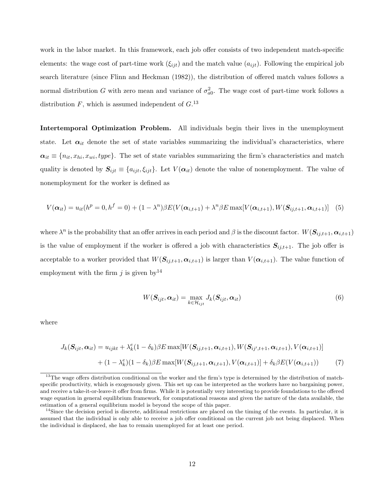work in the labor market. In this framework, each job offer consists of two independent match-specific elements: the wage cost of part-time work  $(\xi_{ijt})$  and the match value  $(a_{ijt})$ . Following the empirical job search literature (since Flinn and Heckman (1982)), the distribution of offered match values follows a normal distribution G with zero mean and variance of  $\sigma_{a0}^2$ . The wage cost of part-time work follows a distribution  $F$ , which is assumed independent of  $G$ .<sup>13</sup>

Intertemporal Optimization Problem. All individuals begin their lives in the unemployment state. Let  $\alpha_{it}$  denote the set of state variables summarizing the individual's characteristics, where  $\alpha_{it} \equiv \{n_{it}, x_{hi}, x_{wi}, type\}.$  The set of state variables summarizing the firm's characteristics and match quality is denoted by  $S_{ijt} \equiv \{a_{ijt}, \xi_{ijt}\}\.$  Let  $V(\alpha_{it})$  denote the value of nonemployment. The value of nonemployment for the worker is defined as

$$
V(\alpha_{it}) = u_{it}(h^p = 0, h^f = 0) + (1 - \lambda^n)\beta E(V(\alpha_{i,t+1}) + \lambda^n\beta E \max[V(\alpha_{i,t+1}), W(\mathbf{S}_{i,j,t+1}, \alpha_{i,t+1})]
$$
(5)

where  $\lambda^n$  is the probability that an offer arrives in each period and  $\beta$  is the discount factor.  $W(\mathbf{\mathbf{\mathbf{S}}}_{i j,t+1}, \mathbf{\alpha}_{i,t+1})$ is the value of employment if the worker is offered a job with characteristics  $S_{ij,t+1}$ . The job offer is acceptable to a worker provided that  $W(\mathbf{S}_{i,i,t+1}, \alpha_{i,t+1})$  is larger than  $V(\alpha_{i,t+1})$ . The value function of employment with the firm j is given by  $14$ 

$$
W(\boldsymbol{S}_{ijt}, \boldsymbol{\alpha}_{it}) = \max_{k \in \mathcal{H}_{ijt}} J_k(\boldsymbol{S}_{ijt}, \boldsymbol{\alpha}_{it})
$$
\n(6)

where

$$
J_k(\mathbf{S}_{ijt}, \boldsymbol{\alpha}_{it}) = u_{ijkt} + \lambda_k^e (1 - \delta_k) \beta E \max[W(\mathbf{S}_{ij,t+1}, \boldsymbol{\alpha}_{i,t+1}), W(\mathbf{S}_{ij',t+1}, \boldsymbol{\alpha}_{i,t+1}), V(\boldsymbol{\alpha}_{i,t+1})]
$$
  
+ 
$$
(1 - \lambda_k^e)(1 - \delta_k) \beta E \max[W(\mathbf{S}_{ij,t+1}, \boldsymbol{\alpha}_{i,t+1}), V(\boldsymbol{\alpha}_{i,t+1})] + \delta_k \beta E(V(\boldsymbol{\alpha}_{i,t+1}))
$$
(7)

 $13$ The wage offers distribution conditional on the worker and the firm's type is determined by the distribution of matchspecific productivity, which is exogenously given. This set up can be interpreted as the workers have no bargaining power, and receive a take-it-or-leave-it offer from firms. While it is potentially very interesting to provide foundations to the offered wage equation in general equilibrium framework, for computational reasons and given the nature of the data available, the estimation of a general equilibrium model is beyond the scope of this paper.

 $14$ Since the decision period is discrete, additional restrictions are placed on the timing of the events. In particular, it is assumed that the individual is only able to receive a job offer conditional on the current job not being displaced. When the individual is displaced, she has to remain unemployed for at least one period.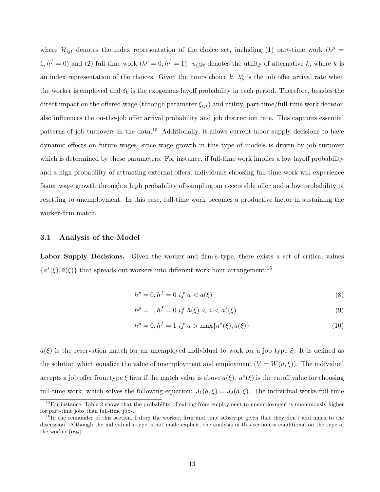where  $\mathcal{H}_{ijt}$  denotes the index representation of the choice set, including (1) part-time work  $(h^p =$  $1, h^f = 0$  and (2) full-time work  $(h^p = 0, h^f = 1)$ .  $u_{i j k t}$  denotes the utility of alternative k, where k is an index representation of the choices. Given the hours choice  $k$ ,  $\lambda_k^e$  is the job offer arrival rate when the worker is employed and  $\delta_k$  is the exogenous layoff probability in each period. Therefore, besides the direct impact on the offered wage (through parameter  $\xi_{ijt}$ ) and utility, part-time/full-time work decision also influences the on-the-job offer arrival probability and job destruction rate. This captures essential patterns of job turnovers in the data.<sup>15</sup> Additionally, it allows current labor supply decisions to have dynamic effects on future wages, since wage growth in this type of models is driven by job turnover which is determined by these parameters. For instance, if full-time work implies a low layoff probability and a high probability of attracting external offers, individuals choosing full-time work will experience faster wage growth through a high probability of sampling an acceptable offer and a low probability of resetting to unemployment. In this case, full-time work becomes a productive factor in sustaining the worker-firm match.

#### 3.1 Analysis of the Model

Labor Supply Decisions. Given the worker and firm's type, there exists a set of critical values  ${a^*(\xi), \bar{a}(\xi)}$  that spreads out workers into different work hour arrangement:<sup>16</sup>

$$
h^p = 0, h^f = 0 \text{ if } a < \bar{a}(\xi) \tag{8}
$$

$$
h^p = 1, h^f = 0 \text{ if } \bar{a}(\xi) < a < a^*(\xi) \tag{9}
$$

$$
h^{p} = 0, h^{f} = 1 \text{ if } a > \max\{a^{*}(\xi), \bar{a}(\xi)\}\
$$
\n(10)

 $\bar{a}(\xi)$  is the reservation match for an unemployed individual to work for a job type  $\xi$ . It is defined as the solution which equalize the value of unemployment and employment  $(V = W(a, \xi))$ . The individual accepts a job offer from type  $\xi$  firm if the match value is above  $\bar{a}(\xi)$ .  $a^*(\xi)$  is the cutoff value for choosing full-time work, which solves the following equation:  $J_1(a,\xi) = J_2(a,\xi)$ . The individual works full-time

 $15$  For instance, Table 2 shows that the probability of exiting from employment to unemployment is unanimously higher for part-time jobs than full-time jobs.

<sup>&</sup>lt;sup>16</sup>In the remainder of this section, I drop the worker, firm and time subscript given that they don't add much to the discussion. Although the individual's type is not made explicit, the analysis in this section is conditional on the type of the worker  $(\alpha_{it})$ .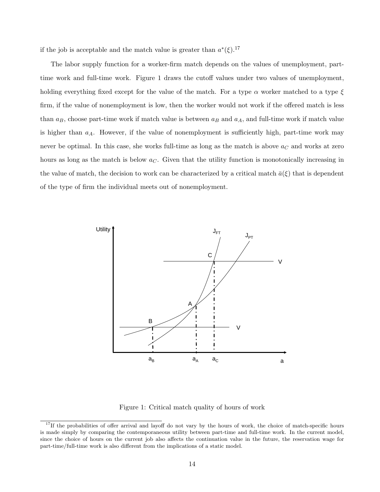if the job is acceptable and the match value is greater than  $a^*(\xi)$ .<sup>17</sup>

The labor supply function for a worker-firm match depends on the values of unemployment, parttime work and full-time work. Figure 1 draws the cutoff values under two values of unemployment, holding everything fixed except for the value of the match. For a type  $\alpha$  worker matched to a type  $\xi$ firm, if the value of nonemployment is low, then the worker would not work if the offered match is less than  $a_B$ , choose part-time work if match value is between  $a_B$  and  $a_A$ , and full-time work if match value is higher than  $a<sub>A</sub>$ . However, if the value of nonemployment is sufficiently high, part-time work may never be optimal. In this case, she works full-time as long as the match is above  $a<sub>C</sub>$  and works at zero hours as long as the match is below  $a<sub>C</sub>$ . Given that the utility function is monotonically increasing in the value of match, the decision to work can be characterized by a critical match  $\bar{a}(\xi)$  that is dependent of the type of firm the individual meets out of nonemployment.



Figure 1: Critical match quality of hours of work

 $17$ If the probabilities of offer arrival and layoff do not vary by the hours of work, the choice of match-specific hours is made simply by comparing the contemporaneous utility between part-time and full-time work. In the current model, since the choice of hours on the current job also affects the continuation value in the future, the reservation wage for part-time/full-time work is also different from the implications of a static model.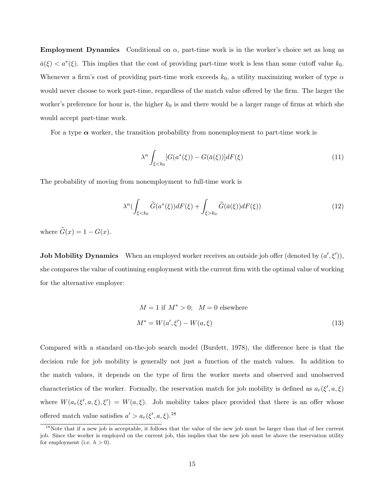**Employment Dynamics** Conditional on  $\alpha$ , part-time work is in the worker's choice set as long as  $\bar{a}(\xi) < a^*(\xi)$ . This implies that the cost of providing part-time work is less than some cutoff value  $k_0$ . Whenever a firm's cost of providing part-time work exceeds  $k_0$ , a utility maximizing worker of type  $\alpha$ would never choose to work part-time, regardless of the match value offered by the firm. The larger the worker's preference for hour is, the higher  $k_0$  is and there would be a larger range of firms at which she would accept part-time work.

For a type  $\alpha$  worker, the transition probability from nonemployment to part-time work is

$$
\lambda^n \int_{\xi < k_0} [G(a^*(\xi)) - G(\bar{a}(\xi))] dF(\xi) \tag{11}
$$

The probability of moving from nonemployment to full-time work is

$$
\lambda^n \left( \int_{\xi < k_0} \widetilde{G}(a^*(\xi)) dF(\xi) + \int_{\xi > k_0} \widetilde{G}(\overline{a}(\xi)) dF(\xi) \right) \tag{12}
$$

where  $\widetilde{G}(x) = 1 - G(x)$ .

**Job Mobility Dynamics** When an employed worker receives an outside job offer (denoted by  $(a', \xi')$ ), she compares the value of continuing employment with the current firm with the optimal value of working for the alternative employer:

$$
M = 1 \text{ if } M^* > 0; \quad M = 0 \text{ elsewhere}
$$
  

$$
M^* = W(a', \xi') - W(a, \xi)
$$
 (13)

Compared with a standard on-the-job search model (Burdett, 1978), the difference here is that the decision rule for job mobility is generally not just a function of the match values. In addition to the match values, it depends on the type of firm the worker meets and observed and unobserved characteristics of the worker. Formally, the reservation match for job mobility is defined as  $a_r(\xi', a, \xi)$ where  $W(a_r(\xi', a, \xi), \xi') = W(a, \xi)$ . Job mobility takes place provided that there is an offer whose offered match value satisfies  $a' > a_r(\xi', a, \xi)$ .<sup>18</sup>

 $18$ Note that if a new job is acceptable, it follows that the value of the new job must be larger than that of her current job. Since the worker is employed on the current job, this implies that the new job must be above the reservation utility for employment (i.e.  $h > 0$ ).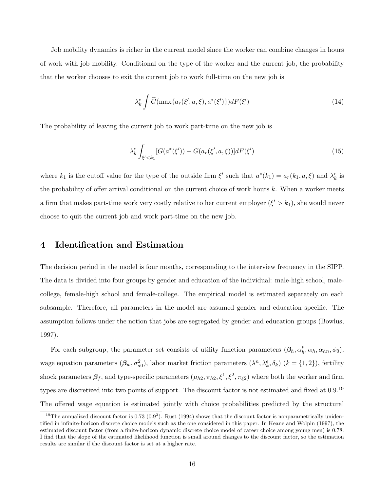Job mobility dynamics is richer in the current model since the worker can combine changes in hours of work with job mobility. Conditional on the type of the worker and the current job, the probability that the worker chooses to exit the current job to work full-time on the new job is

$$
\lambda_k^e \int \widetilde{G}(\max\{a_r(\xi',a,\xi),a^*(\xi')\})dF(\xi')
$$
\n(14)

The probability of leaving the current job to work part-time on the new job is

$$
\lambda_k^e \int_{\xi' < k_1} [G(a^*(\xi')) - G(a_r(\xi', a, \xi))] dF(\xi') \tag{15}
$$

where  $k_1$  is the cutoff value for the type of the outside firm  $\xi'$  such that  $a^*(k_1) = a_r(k_1, a, \xi)$  and  $\lambda_k^e$  is the probability of offer arrival conditional on the current choice of work hours  $k$ . When a worker meets a firm that makes part-time work very costly relative to her current employer  $(\xi' > k_1)$ , she would never choose to quit the current job and work part-time on the new job.

# 4 Identification and Estimation

The decision period in the model is four months, corresponding to the interview frequency in the SIPP. The data is divided into four groups by gender and education of the individual: male-high school, malecollege, female-high school and female-college. The empirical model is estimated separately on each subsample. Therefore, all parameters in the model are assumed gender and education specific. The assumption follows under the notion that jobs are segregated by gender and education groups (Bowlus, 1997).

For each subgroup, the parameter set consists of utility function parameters  $(\beta_h, \alpha_h^p)$  $_{h}^{p}, \alpha_{h}, \alpha_{hn}, \phi_{0}),$ wage equation parameters  $(\beta_w, \sigma_{a0}^2)$ , labor market friction parameters  $(\lambda^n, \lambda_k^e, \delta_k)$   $(k = \{1, 2\})$ , fertility shock parameters  $\beta_f$ , and type-specific parameters  $(\mu_{h2}, \pi_{h2}, \xi^1, \xi^2, \pi_{\xi^2})$  where both the worker and firm types are discretized into two points of support. The discount factor is not estimated and fixed at  $0.9$ .<sup>19</sup> The offered wage equation is estimated jointly with choice probabilities predicted by the structural

<sup>&</sup>lt;sup>19</sup>The annualized discount factor is  $0.73$   $(0.9^3)$ . Rust (1994) shows that the discount factor is nonparametrically unidentified in infinite-horizon discrete choice models such as the one considered in this paper. In Keane and Wolpin (1997), the estimated discount factor (from a finite-horizon dynamic discrete choice model of career choice among young men) is 0.78. I find that the slope of the estimated likelihood function is small around changes to the discount factor, so the estimation results are similar if the discount factor is set at a higher rate.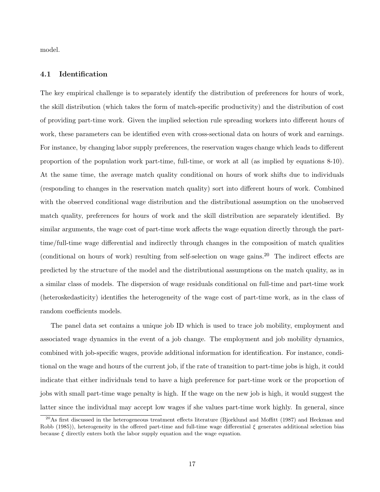model.

#### 4.1 Identification

The key empirical challenge is to separately identify the distribution of preferences for hours of work, the skill distribution (which takes the form of match-specific productivity) and the distribution of cost of providing part-time work. Given the implied selection rule spreading workers into different hours of work, these parameters can be identified even with cross-sectional data on hours of work and earnings. For instance, by changing labor supply preferences, the reservation wages change which leads to different proportion of the population work part-time, full-time, or work at all (as implied by equations 8-10). At the same time, the average match quality conditional on hours of work shifts due to individuals (responding to changes in the reservation match quality) sort into different hours of work. Combined with the observed conditional wage distribution and the distributional assumption on the unobserved match quality, preferences for hours of work and the skill distribution are separately identified. By similar arguments, the wage cost of part-time work affects the wage equation directly through the parttime/full-time wage differential and indirectly through changes in the composition of match qualities (conditional on hours of work) resulting from self-selection on wage gains.<sup>20</sup> The indirect effects are predicted by the structure of the model and the distributional assumptions on the match quality, as in a similar class of models. The dispersion of wage residuals conditional on full-time and part-time work (heteroskedasticity) identifies the heterogeneity of the wage cost of part-time work, as in the class of random coefficients models.

The panel data set contains a unique job ID which is used to trace job mobility, employment and associated wage dynamics in the event of a job change. The employment and job mobility dynamics, combined with job-specific wages, provide additional information for identification. For instance, conditional on the wage and hours of the current job, if the rate of transition to part-time jobs is high, it could indicate that either individuals tend to have a high preference for part-time work or the proportion of jobs with small part-time wage penalty is high. If the wage on the new job is high, it would suggest the latter since the individual may accept low wages if she values part-time work highly. In general, since

 $^{20}$ As first discussed in the heterogeneous treatment effects literature (Bjorklund and Moffitt (1987) and Heckman and Robb (1985)), heterogeneity in the offered part-time and full-time wage differential  $\xi$  generates additional selection bias because  $\xi$  directly enters both the labor supply equation and the wage equation.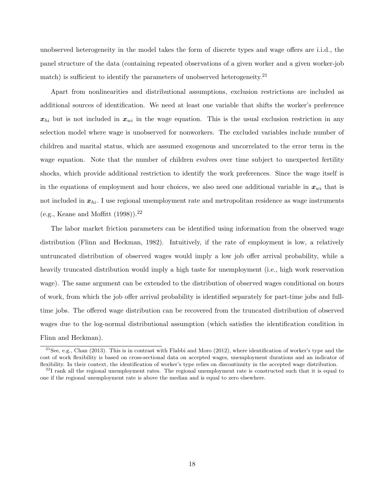unobserved heterogeneity in the model takes the form of discrete types and wage offers are i.i.d., the panel structure of the data (containing repeated observations of a given worker and a given worker-job match) is sufficient to identify the parameters of unobserved heterogeneity.<sup>21</sup>

Apart from nonlinearities and distributional assumptions, exclusion restrictions are included as additional sources of identification. We need at least one variable that shifts the worker's preference  $x_{hi}$  but is not included in  $x_{wi}$  in the wage equation. This is the usual exclusion restriction in any selection model where wage is unobserved for nonworkers. The excluded variables include number of children and marital status, which are assumed exogenous and uncorrelated to the error term in the wage equation. Note that the number of children evolves over time subject to unexpected fertility shocks, which provide additional restriction to identify the work preferences. Since the wage itself is in the equations of employment and hour choices, we also need one additional variable in  $x_{wi}$  that is not included in  $x_{hi}$ . I use regional unemployment rate and metropolitan residence as wage instruments (e.g., Keane and Moffitt  $(1998)$ ).<sup>22</sup>

The labor market friction parameters can be identified using information from the observed wage distribution (Flinn and Heckman, 1982). Intuitively, if the rate of employment is low, a relatively untruncated distribution of observed wages would imply a low job offer arrival probability, while a heavily truncated distribution would imply a high taste for unemployment (i.e., high work reservation wage). The same argument can be extended to the distribution of observed wages conditional on hours of work, from which the job offer arrival probability is identified separately for part-time jobs and fulltime jobs. The offered wage distribution can be recovered from the truncated distribution of observed wages due to the log-normal distributional assumption (which satisfies the identification condition in Flinn and Heckman).

 $21$ See, e.g., Chan (2013). This is in contrast with Flabbi and Moro (2012), where identification of worker's type and the cost of work flexibility is based on cross-sectional data on accepted wages, unemployment durations and an indicator of flexibility. In their context, the identification of worker's type relies on discontinuity in the accepted wage distribution.

 $^{22}$ I rank all the regional unemployment rates. The regional unemployment rate is constructed such that it is equal to one if the regional unemployment rate is above the median and is equal to zero elsewhere.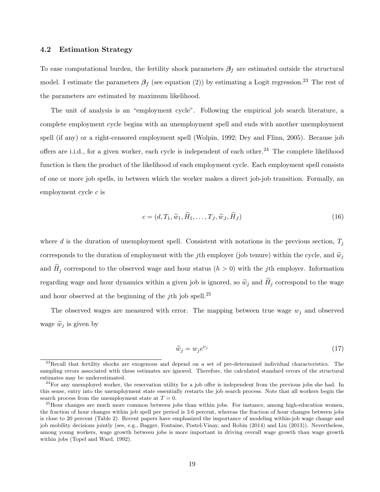#### 4.2 Estimation Strategy

To ease computational burden, the fertility shock parameters  $\beta_f$  are estimated outside the structural model. I estimate the parameters  $\beta_f$  (see equation (2)) by estimating a Logit regression.<sup>23</sup> The rest of the parameters are estimated by maximum likelihood.

The unit of analysis is an "employment cycle". Following the empirical job search literature, a complete employment cycle begins with an unemployment spell and ends with another unemployment spell (if any) or a right-censored employment spell (Wolpin, 1992; Dey and Flinn, 2005). Because job offers are i.i.d., for a given worker, each cycle is independent of each other.<sup>24</sup> The complete likelihood function is then the product of the likelihood of each employment cycle. Each employment spell consists of one or more job spells, in between which the worker makes a direct job-job transition. Formally, an employment cycle c is

$$
c = (d, T_1, \widetilde{w}_1, \widetilde{H}_1, \dots, T_J, \widetilde{w}_J, \widetilde{H}_J)
$$
\n<sup>(16)</sup>

where d is the duration of unemployment spell. Consistent with notations in the previous section,  $T_j$ corresponds to the duration of employment with the jth employer (job tenure) within the cycle, and  $\tilde{w}_i$ and  $\widetilde{H}_j$  correspond to the observed wage and hour status  $(h > 0)$  with the jth employer. Information regarding wage and hour dynamics within a given job is ignored, so  $\tilde{w}_j$  and  $\tilde{H}_j$  correspond to the wage and hour observed at the beginning of the *j*th job spell.<sup>25</sup>

The observed wages are measured with error. The mapping between true wage  $w_i$  and observed wage  $\widetilde{w}_j$  is given by

$$
\widetilde{w}_j = w_j e^{v_j} \tag{17}
$$

 $^{23}$ Recall that fertility shocks are exogenous and depend on a set of pre-determined individual characteristics. The sampling errors associated with these estimates are ignored. Therefore, the calculated standard errors of the structural estimates may be underestimated.

 $24$ For any unemployed worker, the reservation utility for a job offer is independent from the previous jobs she had. In this sense, entry into the unemployment state essentially restarts the job search process. Note that all workers begin the search process from the unemployment state at  $T = 0$ .

 $^{25}$ Hour changes are much more common between jobs than within jobs. For instance, among high-education women, the fraction of hour changes within job spell per period is 3.6 percent, whereas the fraction of hour changes between jobs is close to 20 percent (Table 2). Recent papers have emphasized the importance of modeling within-job wage change and job mobility decisions jointly (see, e.g., Bagger, Fontaine, Postel-Vinay, and Robin (2014) and Liu (2013)). Nevertheless, among young workers, wage growth between jobs is more important in driving overall wage growth than wage growth within jobs (Topel and Ward, 1992).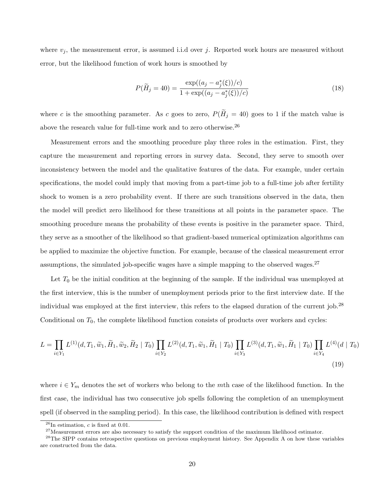where  $v_j$ , the measurement error, is assumed i.i.d over j. Reported work hours are measured without error, but the likelihood function of work hours is smoothed by

$$
P(\widetilde{H}_j = 40) = \frac{\exp((a_j - a_j^*(\xi))/c)}{1 + \exp((a_j - a_j^*(\xi))/c)}
$$
(18)

where c is the smoothing parameter. As c goes to zero,  $P(\tilde{H}_i = 40)$  goes to 1 if the match value is above the research value for full-time work and to zero otherwise.<sup>26</sup>

Measurement errors and the smoothing procedure play three roles in the estimation. First, they capture the measurement and reporting errors in survey data. Second, they serve to smooth over inconsistency between the model and the qualitative features of the data. For example, under certain specifications, the model could imply that moving from a part-time job to a full-time job after fertility shock to women is a zero probability event. If there are such transitions observed in the data, then the model will predict zero likelihood for these transitions at all points in the parameter space. The smoothing procedure means the probability of these events is positive in the parameter space. Third, they serve as a smoother of the likelihood so that gradient-based numerical optimization algorithms can be applied to maximize the objective function. For example, because of the classical measurement error assumptions, the simulated job-specific wages have a simple mapping to the observed wages. $27$ 

Let  $T_0$  be the initial condition at the beginning of the sample. If the individual was unemployed at the first interview, this is the number of unemployment periods prior to the first interview date. If the individual was employed at the first interview, this refers to the elapsed duration of the current job.<sup>28</sup> Conditional on  $T_0$ , the complete likelihood function consists of products over workers and cycles:

$$
L = \prod_{i \in Y_1} L^{(1)}(d, T_1, \widetilde{w}_1, \widetilde{H}_1, \widetilde{w}_2, \widetilde{H}_2 | T_0) \prod_{i \in Y_2} L^{(2)}(d, T_1, \widetilde{w}_1, \widetilde{H}_1 | T_0) \prod_{i \in Y_3} L^{(3)}(d, T_1, \widetilde{w}_1, \widetilde{H}_1 | T_0) \prod_{i \in Y_4} L^{(4)}(d | T_0)
$$
\n(19)

where  $i \in Y_m$  denotes the set of workers who belong to the mth case of the likelihood function. In the first case, the individual has two consecutive job spells following the completion of an unemployment spell (if observed in the sampling period). In this case, the likelihood contribution is defined with respect

 $^{26}$ In estimation, c is fixed at 0.01.

 $27$ Measurement errors are also necessary to satisfy the support condition of the maximum likelihood estimator.

<sup>&</sup>lt;sup>28</sup>The SIPP contains retrospective questions on previous employment history. See Appendix A on how these variables are constructed from the data.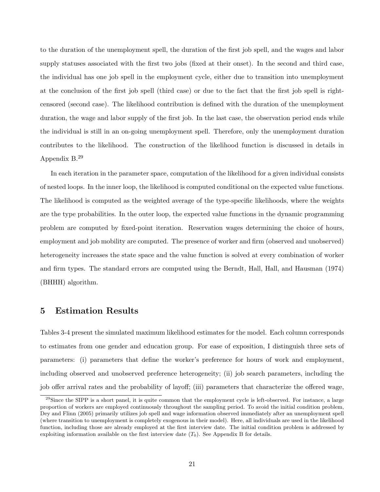to the duration of the unemployment spell, the duration of the first job spell, and the wages and labor supply statuses associated with the first two jobs (fixed at their onset). In the second and third case, the individual has one job spell in the employment cycle, either due to transition into unemployment at the conclusion of the first job spell (third case) or due to the fact that the first job spell is rightcensored (second case). The likelihood contribution is defined with the duration of the unemployment duration, the wage and labor supply of the first job. In the last case, the observation period ends while the individual is still in an on-going unemployment spell. Therefore, only the unemployment duration contributes to the likelihood. The construction of the likelihood function is discussed in details in Appendix B.<sup>29</sup>

In each iteration in the parameter space, computation of the likelihood for a given individual consists of nested loops. In the inner loop, the likelihood is computed conditional on the expected value functions. The likelihood is computed as the weighted average of the type-specific likelihoods, where the weights are the type probabilities. In the outer loop, the expected value functions in the dynamic programming problem are computed by fixed-point iteration. Reservation wages determining the choice of hours, employment and job mobility are computed. The presence of worker and firm (observed and unobserved) heterogeneity increases the state space and the value function is solved at every combination of worker and firm types. The standard errors are computed using the Berndt, Hall, Hall, and Hausman (1974) (BHHH) algorithm.

# 5 Estimation Results

Tables 3-4 present the simulated maximum likelihood estimates for the model. Each column corresponds to estimates from one gender and education group. For ease of exposition, I distinguish three sets of parameters: (i) parameters that define the worker's preference for hours of work and employment, including observed and unobserved preference heterogeneity; (ii) job search parameters, including the job offer arrival rates and the probability of layoff; (iii) parameters that characterize the offered wage,

 $29$ Since the SIPP is a short panel, it is quite common that the employment cycle is left-observed. For instance, a large proportion of workers are employed continuously throughout the sampling period. To avoid the initial condition problem, Dey and Flinn (2005) primarily utilizes job spell and wage information observed immediately after an unemployment spell (where transition to unemployment is completely exogenous in their model). Here, all individuals are used in the likelihood function, including those are already employed at the first interview date. The initial condition problem is addressed by exploiting information available on the first interview date  $(T_0)$ . See Appendix B for details.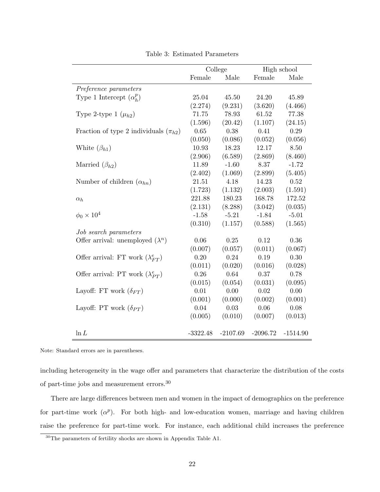|                                             | College    |            |            | High school |
|---------------------------------------------|------------|------------|------------|-------------|
|                                             | Female     | Male       | Female     | Male        |
| Preference parameters                       |            |            |            |             |
| Type 1 Intercept $(\alpha_h^p)$             | 25.04      | 45.50      | 24.20      | 45.89       |
|                                             | (2.274)    | (9.231)    | (3.620)    | (4.466)     |
| Type 2-type 1 $(\mu_{h2})$                  | 71.75      | 78.93      | 61.52      | 77.38       |
|                                             | (1.596)    | (20.42)    | (1.107)    | (24.15)     |
| Fraction of type 2 individuals $(\pi_{h2})$ | 0.65       | 0.38       | 0.41       | 0.29        |
|                                             | (0.050)    | (0.086)    | (0.052)    | (0.056)     |
| White $(\beta_{h1})$                        | 10.93      | 18.23      | 12.17      | 8.50        |
|                                             | (2.906)    | (6.589)    | (2.869)    | (8.460)     |
| Married $(\beta_{h2})$                      | 11.89      | $-1.60$    | 8.37       | $-1.72$     |
|                                             | (2.402)    | (1.069)    | (2.899)    | (5.405)     |
| Number of children $(\alpha_{hn})$          | 21.51      | 4.18       | 14.23      | 0.52        |
|                                             | (1.723)    | (1.132)    | (2.003)    | (1.591)     |
| $\alpha_h$                                  | 221.88     | 180.23     | 168.78     | 172.52      |
|                                             | (2.131)    | (8.288)    | (3.042)    | (0.035)     |
| $\phi_0 \times 10^4$                        | $-1.58$    | $-5.21$    | $-1.84$    | $-5.01$     |
|                                             | (0.310)    | (1.157)    | (0.588)    | (1.565)     |
| Job search parameters                       |            |            |            |             |
| Offer arrival: unemployed $(\lambda^n)$     | 0.06       | 0.25       | 0.12       | 0.36        |
|                                             | (0.007)    | (0.057)    | (0.011)    | (0.067)     |
| Offer arrival: FT work $(\lambda_{FT}^e)$   | 0.20       | 0.24       | 0.19       | 0.30        |
|                                             | (0.011)    | (0.020)    | (0.016)    | (0.028)     |
| Offer arrival: PT work $(\lambda_{PT}^e)$   | 0.26       | 0.64       | 0.37       | 0.78        |
|                                             | (0.015)    | (0.054)    | (0.031)    | (0.095)     |
| Layoff: FT work $(\delta_{FT})$             | 0.01       | 0.00       | 0.02       | 0.00        |
|                                             | (0.001)    | (0.000)    | (0.002)    | (0.001)     |
| Layoff: PT work $(\delta_{PT})$             | 0.04       | 0.03       | 0.06       | 0.08        |
|                                             | (0.005)    | (0.010)    | (0.007)    | (0.013)     |
| $\ln L$                                     | $-3322.48$ | $-2107.69$ | $-2096.72$ | $-1514.90$  |

Table 3: Estimated Parameters

Note: Standard errors are in parentheses.

including heterogeneity in the wage offer and parameters that characterize the distribution of the costs of part-time jobs and measurement errors.<sup>30</sup>

There are large differences between men and women in the impact of demographics on the preference for part-time work  $(\alpha^p)$ . For both high- and low-education women, marriage and having children raise the preference for part-time work. For instance, each additional child increases the preference

<sup>30</sup>The parameters of fertility shocks are shown in Appendix Table A1.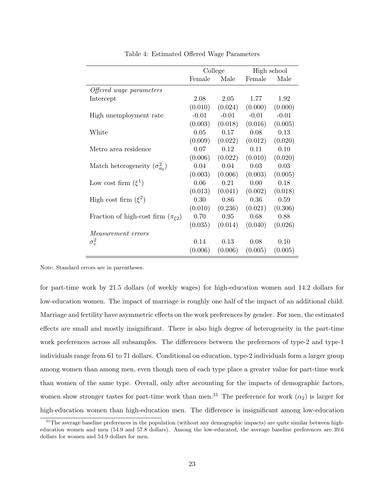|                                            |         | College | High school |         |
|--------------------------------------------|---------|---------|-------------|---------|
|                                            | Female  | Male    | Female      | Male    |
| <i>Offered wage parameters</i>             |         |         |             |         |
| Intercept                                  | 2.08    | 2.05    | 1.77        | 1.92    |
|                                            | (0.010) | (0.024) | (0.000)     | (0.000) |
| High unemployment rate                     | $-0.01$ | $-0.01$ | $-0.01$     | $-0.01$ |
|                                            | (0.003) | (0.018) | (0.016)     | (0.005) |
| White                                      | 0.05    | 0.17    | 0.08        | 0.13    |
|                                            | (0.009) | (0.022) | (0.012)     | (0.020) |
| Metro area residence                       | 0.07    | 0.12    | 0.11        | 0.10    |
|                                            | (0.006) | (0.022) | (0.010)     | (0.020) |
| Match heterogeneity $(\sigma_{a_0}^2)$     | 0.04    | 0.04    | 0.03        | 0.03    |
|                                            | (0.003) | (0.006) | (0.003)     | (0.005) |
| Low cost firm $(\xi^1)$                    | 0.06    | 0.21    | 0.00        | 0.18    |
|                                            | (0.013) | (0.041) | (0.002)     | (0.018) |
| High cost firm $(\xi^2)$                   | 0.30    | 0.86    | 0.36        | 0.59    |
|                                            | (0.010) | (0.236) | (0.021)     | (0.306) |
| Fraction of high-cost firm $(\pi_{\xi_2})$ | 0.70    | 0.95    | 0.68        | 0.88    |
|                                            | (0.035) | (0.014) | (0.040)     | (0.026) |
| <i>Measurement errors</i>                  |         |         |             |         |
| $\sigma_v^2$                               | 0.14    | 0.13    | 0.08        | 0.10    |
|                                            | (0.006) | (0.006) | (0.005)     | (0.005) |

Table 4: Estimated Offered Wage Parameters

Note: Standard errors are in parentheses.

for part-time work by 21.5 dollars (of weekly wages) for high-education women and 14.2 dollars for low-education women. The impact of marriage is roughly one half of the impact of an additional child. Marriage and fertility have asymmetric effects on the work preferences by gender. For men, the estimated effects are small and mostly insignificant. There is also high degree of heterogeneity in the part-time work preferences across all subsamples. The differences between the preferences of type-2 and type-1 individuals range from 61 to 71 dollars. Conditional on education, type-2 individuals form a larger group among women than among men, even though men of each type place a greater value for part-time work than women of the same type. Overall, only after accounting for the impacts of demographic factors, women show stronger tastes for part-time work than men.<sup>31</sup> The preference for work  $(\alpha_2)$  is larger for high-education women than high-education men. The difference is insignificant among low-education

<sup>&</sup>lt;sup>31</sup>The average baseline preferences in the population (without any demographic impacts) are quite similar between higheducation women and men (54.9 and 57.8 dollars). Among the low-educated, the average baseline preferences are 39.6 dollars for women and 54.9 dollars for men.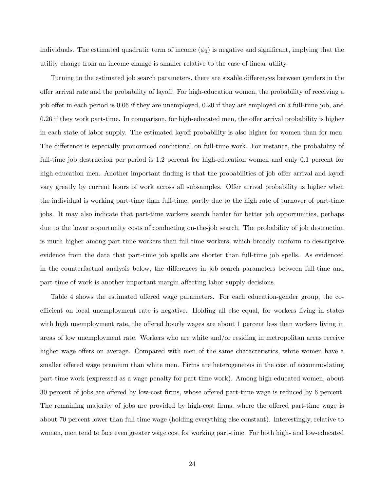individuals. The estimated quadratic term of income  $(\phi_0)$  is negative and significant, implying that the utility change from an income change is smaller relative to the case of linear utility.

Turning to the estimated job search parameters, there are sizable differences between genders in the offer arrival rate and the probability of layoff. For high-education women, the probability of receiving a job offer in each period is 0.06 if they are unemployed, 0.20 if they are employed on a full-time job, and 0.26 if they work part-time. In comparison, for high-educated men, the offer arrival probability is higher in each state of labor supply. The estimated layoff probability is also higher for women than for men. The difference is especially pronounced conditional on full-time work. For instance, the probability of full-time job destruction per period is 1.2 percent for high-education women and only 0.1 percent for high-education men. Another important finding is that the probabilities of job offer arrival and layoff vary greatly by current hours of work across all subsamples. Offer arrival probability is higher when the individual is working part-time than full-time, partly due to the high rate of turnover of part-time jobs. It may also indicate that part-time workers search harder for better job opportunities, perhaps due to the lower opportunity costs of conducting on-the-job search. The probability of job destruction is much higher among part-time workers than full-time workers, which broadly conform to descriptive evidence from the data that part-time job spells are shorter than full-time job spells. As evidenced in the counterfactual analysis below, the differences in job search parameters between full-time and part-time of work is another important margin affecting labor supply decisions.

Table 4 shows the estimated offered wage parameters. For each education-gender group, the coefficient on local unemployment rate is negative. Holding all else equal, for workers living in states with high unemployment rate, the offered hourly wages are about 1 percent less than workers living in areas of low unemployment rate. Workers who are white and/or residing in metropolitan areas receive higher wage offers on average. Compared with men of the same characteristics, white women have a smaller offered wage premium than white men. Firms are heterogeneous in the cost of accommodating part-time work (expressed as a wage penalty for part-time work). Among high-educated women, about 30 percent of jobs are offered by low-cost firms, whose offered part-time wage is reduced by 6 percent. The remaining majority of jobs are provided by high-cost firms, where the offered part-time wage is about 70 percent lower than full-time wage (holding everything else constant). Interestingly, relative to women, men tend to face even greater wage cost for working part-time. For both high- and low-educated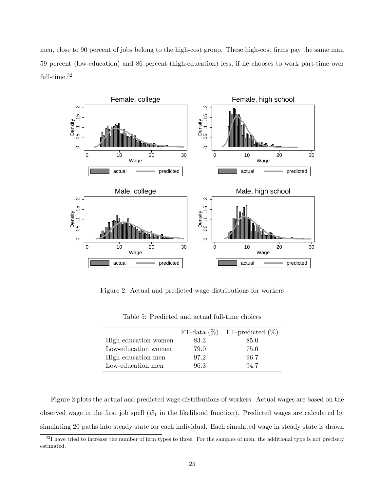men, close to 90 percent of jobs belong to the high-cost group. These high-cost firms pay the same man 59 percent (low-education) and 86 percent (high-education) less, if he chooses to work part-time over full-time.<sup>32</sup>



Figure 2: Actual and predicted wage distributions for workers

|                      |      | FT-data $(\%)$ FT-predicted $(\%)$ |
|----------------------|------|------------------------------------|
| High-education women | 83.3 | 85.0                               |
| Low-education women  | 79.0 | 75.0                               |
| High-education men   | 97.2 | 96.7                               |
| Low-education men    | 96.3 | 94.7                               |

Table 5: Predicted and actual full-time choices

Figure 2 plots the actual and predicted wage distributions of workers. Actual wages are based on the observed wage in the first job spell ( $\tilde{w}_1$  in the likelihood function). Predicted wages are calculated by simulating 20 paths into steady state for each individual. Each simulated wage in steady state is drawn

 $32$ I have tried to increase the number of firm types to three. For the samples of men, the additional type is not precisely estimated.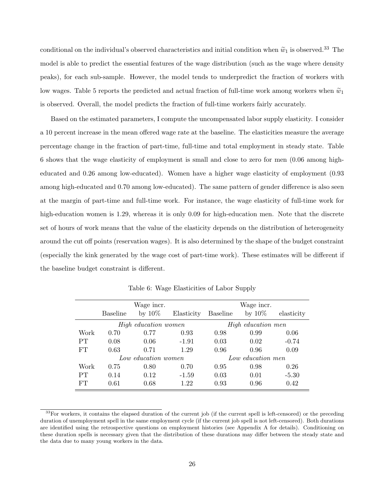conditional on the individual's observed characteristics and initial condition when  $\tilde{w}_1$  is observed.<sup>33</sup> The model is able to predict the essential features of the wage distribution (such as the wage where density peaks), for each sub-sample. However, the model tends to underpredict the fraction of workers with low wages. Table 5 reports the predicted and actual fraction of full-time work among workers when  $\tilde{w}_1$ is observed. Overall, the model predicts the fraction of full-time workers fairly accurately.

Based on the estimated parameters, I compute the uncompensated labor supply elasticity. I consider a 10 percent increase in the mean offered wage rate at the baseline. The elasticities measure the average percentage change in the fraction of part-time, full-time and total employment in steady state. Table 6 shows that the wage elasticity of employment is small and close to zero for men (0.06 among higheducated and 0.26 among low-educated). Women have a higher wage elasticity of employment (0.93 among high-educated and 0.70 among low-educated). The same pattern of gender difference is also seen at the margin of part-time and full-time work. For instance, the wage elasticity of full-time work for high-education women is 1.29, whereas it is only 0.09 for high-education men. Note that the discrete set of hours of work means that the value of the elasticity depends on the distribution of heterogeneity around the cut off points (reservation wages). It is also determined by the shape of the budget constraint (especially the kink generated by the wage cost of part-time work). These estimates will be different if the baseline budget constraint is different.

| Wage incr.                  |          |                     | Wage incr.                |                 |                   |            |  |
|-----------------------------|----------|---------------------|---------------------------|-----------------|-------------------|------------|--|
|                             | Baseline | by $10\%$           | Elasticity                | <b>Baseline</b> | by $10\%$         | elasticity |  |
| <i>High education women</i> |          |                     | <i>High education men</i> |                 |                   |            |  |
| Work                        | 0.70     | 0.77                | 0.93                      | 0.98            | 0.99              | 0.06       |  |
| <b>PT</b>                   | 0.08     | 0.06                | $-1.91$                   | 0.03            | 0.02              | $-0.74$    |  |
| FT                          | 0.63     | 0.71                | 1.29                      | 0.96            | 0.96              | 0.09       |  |
|                             |          | Low education women |                           |                 | Low education men |            |  |
| Work                        | 0.75     | 0.80                | 0.70                      | 0.95            | 0.98              | 0.26       |  |
| PT                          | 0.14     | 0.12                | $-1.59$                   | 0.03            | 0.01              | $-5.30$    |  |
| FT                          | 0.61     | 0.68                | 1.22                      | 0.93            | 0.96              | 0.42       |  |

Table 6: Wage Elasticities of Labor Supply

 $33$ For workers, it contains the elapsed duration of the current job (if the current spell is left-censored) or the preceding duration of unemployment spell in the same employment cycle (if the current job spell is not left-censored). Both durations are identified using the retrospective questions on employment histories (see Appendix A for details). Conditioning on these duration spells is necessary given that the distribution of these durations may differ between the steady state and the data due to many young workers in the data.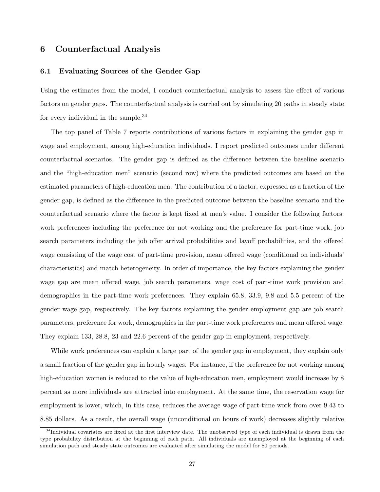# 6 Counterfactual Analysis

### 6.1 Evaluating Sources of the Gender Gap

Using the estimates from the model, I conduct counterfactual analysis to assess the effect of various factors on gender gaps. The counterfactual analysis is carried out by simulating 20 paths in steady state for every individual in the sample.<sup>34</sup>

The top panel of Table 7 reports contributions of various factors in explaining the gender gap in wage and employment, among high-education individuals. I report predicted outcomes under different counterfactual scenarios. The gender gap is defined as the difference between the baseline scenario and the "high-education men" scenario (second row) where the predicted outcomes are based on the estimated parameters of high-education men. The contribution of a factor, expressed as a fraction of the gender gap, is defined as the difference in the predicted outcome between the baseline scenario and the counterfactual scenario where the factor is kept fixed at men's value. I consider the following factors: work preferences including the preference for not working and the preference for part-time work, job search parameters including the job offer arrival probabilities and layoff probabilities, and the offered wage consisting of the wage cost of part-time provision, mean offered wage (conditional on individuals' characteristics) and match heterogeneity. In order of importance, the key factors explaining the gender wage gap are mean offered wage, job search parameters, wage cost of part-time work provision and demographics in the part-time work preferences. They explain 65.8, 33.9, 9.8 and 5.5 percent of the gender wage gap, respectively. The key factors explaining the gender employment gap are job search parameters, preference for work, demographics in the part-time work preferences and mean offered wage. They explain 133, 28.8, 23 and 22.6 percent of the gender gap in employment, respectively.

While work preferences can explain a large part of the gender gap in employment, they explain only a small fraction of the gender gap in hourly wages. For instance, if the preference for not working among high-education women is reduced to the value of high-education men, employment would increase by 8 percent as more individuals are attracted into employment. At the same time, the reservation wage for employment is lower, which, in this case, reduces the average wage of part-time work from over 9.43 to 8.85 dollars. As a result, the overall wage (unconditional on hours of work) decreases slightly relative

<sup>&</sup>lt;sup>34</sup>Individual covariates are fixed at the first interview date. The unobserved type of each individual is drawn from the type probability distribution at the beginning of each path. All individuals are unemployed at the beginning of each simulation path and steady state outcomes are evaluated after simulating the model for 80 periods.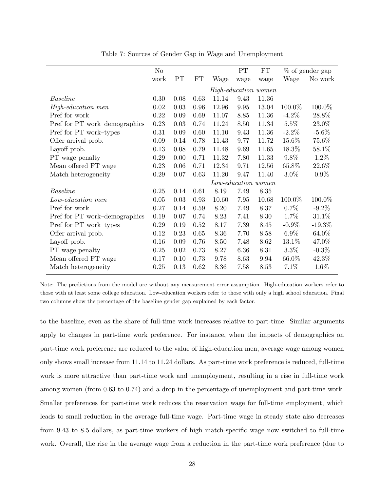|                               | N <sub>o</sub> |           |      |       | PT   | FT                   |          | % of gender gap |
|-------------------------------|----------------|-----------|------|-------|------|----------------------|----------|-----------------|
|                               | work           | <b>PT</b> | FT   | Wage  | wage | wage                 | Wage     | No work         |
|                               |                |           |      |       |      | High-education women |          |                 |
| <b>Baseline</b>               | $0.30\,$       | 0.08      | 0.63 | 11.14 | 9.43 | 11.36                |          |                 |
| High-education men            | 0.02           | $0.03\,$  | 0.96 | 12.96 | 9.95 | 13.04                | 100.0%   | 100.0%          |
| Pref for work                 | 0.22           | 0.09      | 0.69 | 11.07 | 8.85 | 11.36                | $-4.2\%$ | 28.8%           |
| Pref for PT work-demographics | 0.23           | $0.03\,$  | 0.74 | 11.24 | 8.50 | 11.34                | 5.5%     | 23.0%           |
| Pref for PT work-types        | 0.31           | 0.09      | 0.60 | 11.10 | 9.43 | 11.36                | $-2.2\%$ | $-5.6\%$        |
| Offer arrival prob.           | 0.09           | 0.14      | 0.78 | 11.43 | 9.77 | 11.72                | 15.6%    | 75.6%           |
| Layoff prob.                  | 0.13           | 0.08      | 0.79 | 11.48 | 9.69 | $11.65\,$            | 18.3%    | 58.1%           |
| PT wage penalty               | 0.29           | 0.00      | 0.71 | 11.32 | 7.80 | 11.33                | 9.8%     | $1.2\%$         |
| Mean offered FT wage          | 0.23           | 0.06      | 0.71 | 12.34 | 9.71 | 12.56                | 65.8%    | 22.6%           |
| Match heterogeneity           | 0.29           | 0.07      | 0.63 | 11.20 | 9.47 | 11.40                | $3.0\%$  | $0.9\%$         |
|                               |                |           |      |       |      | Low-education women  |          |                 |
| <i>Baseline</i>               | 0.25           | 0.14      | 0.61 | 8.19  | 7.49 | 8.35                 |          |                 |
| Low-education men             | 0.05           | 0.03      | 0.93 | 10.60 | 7.95 | 10.68                | 100.0%   | 100.0%          |
| Pref for work                 | 0.27           | 0.14      | 0.59 | 8.20  | 7.49 | 8.37                 | 0.7%     | $-9.2\%$        |
| Pref for PT work-demographics | 0.19           | 0.07      | 0.74 | 8.23  | 7.41 | 8.30                 | 1.7%     | 31.1\%          |
| Pref for PT work-types        | 0.29           | 0.19      | 0.52 | 8.17  | 7.39 | 8.45                 | $-0.9\%$ | $-19.3\%$       |
| Offer arrival prob.           | 0.12           | 0.23      | 0.65 | 8.36  | 7.70 | 8.58                 | $6.9\%$  | 64.0%           |
| Layoff prob.                  | 0.16           | 0.09      | 0.76 | 8.50  | 7.48 | 8.62                 | 13.1\%   | 47.0%           |
| PT wage penalty               | 0.25           | 0.02      | 0.73 | 8.27  | 6.36 | 8.31                 | $3.3\%$  | $-0.3\%$        |
| Mean offered FT wage          | 0.17           | 0.10      | 0.73 | 9.78  | 8.63 | $\boldsymbol{9.94}$  | 66.0%    | 42.3%           |
| Match heterogeneity           | 0.25           | 0.13      | 0.62 | 8.36  | 7.58 | 8.53                 | 7.1%     | 1.6%            |

Table 7: Sources of Gender Gap in Wage and Unemployment

Note: The predictions from the model are without any measurement error assumption. High-education workers refer to those with at least some college education. Low-education workers refer to those with only a high school education. Final two columns show the percentage of the baseline gender gap explained by each factor.

to the baseline, even as the share of full-time work increases relative to part-time. Similar arguments apply to changes in part-time work preference. For instance, when the impacts of demographics on part-time work preference are reduced to the value of high-education men, average wage among women only shows small increase from 11.14 to 11.24 dollars. As part-time work preference is reduced, full-time work is more attractive than part-time work and unemployment, resulting in a rise in full-time work among women (from 0.63 to 0.74) and a drop in the percentage of unemployment and part-time work. Smaller preferences for part-time work reduces the reservation wage for full-time employment, which leads to small reduction in the average full-time wage. Part-time wage in steady state also decreases from 9.43 to 8.5 dollars, as part-time workers of high match-specific wage now switched to full-time work. Overall, the rise in the average wage from a reduction in the part-time work preference (due to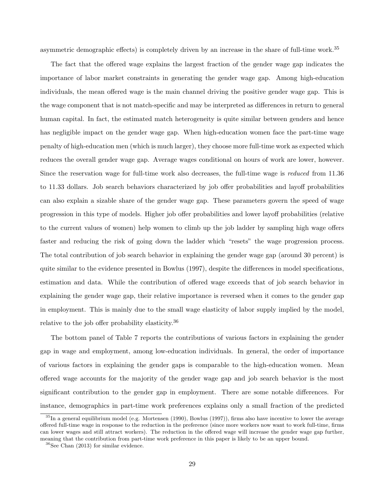asymmetric demographic effects) is completely driven by an increase in the share of full-time work.<sup>35</sup>

The fact that the offered wage explains the largest fraction of the gender wage gap indicates the importance of labor market constraints in generating the gender wage gap. Among high-education individuals, the mean offered wage is the main channel driving the positive gender wage gap. This is the wage component that is not match-specific and may be interpreted as differences in return to general human capital. In fact, the estimated match heterogeneity is quite similar between genders and hence has negligible impact on the gender wage gap. When high-education women face the part-time wage penalty of high-education men (which is much larger), they choose more full-time work as expected which reduces the overall gender wage gap. Average wages conditional on hours of work are lower, however. Since the reservation wage for full-time work also decreases, the full-time wage is reduced from 11.36 to 11.33 dollars. Job search behaviors characterized by job offer probabilities and layoff probabilities can also explain a sizable share of the gender wage gap. These parameters govern the speed of wage progression in this type of models. Higher job offer probabilities and lower layoff probabilities (relative to the current values of women) help women to climb up the job ladder by sampling high wage offers faster and reducing the risk of going down the ladder which "resets" the wage progression process. The total contribution of job search behavior in explaining the gender wage gap (around 30 percent) is quite similar to the evidence presented in Bowlus (1997), despite the differences in model specifications, estimation and data. While the contribution of offered wage exceeds that of job search behavior in explaining the gender wage gap, their relative importance is reversed when it comes to the gender gap in employment. This is mainly due to the small wage elasticity of labor supply implied by the model, relative to the job offer probability elasticity.<sup>36</sup>

The bottom panel of Table 7 reports the contributions of various factors in explaining the gender gap in wage and employment, among low-education individuals. In general, the order of importance of various factors in explaining the gender gaps is comparable to the high-education women. Mean offered wage accounts for the majority of the gender wage gap and job search behavior is the most significant contribution to the gender gap in employment. There are some notable differences. For instance, demographics in part-time work preferences explains only a small fraction of the predicted

 $35$ In a general equilibrium model (e.g. Mortensen (1990), Bowlus (1997)), firms also have incentive to lower the average offered full-time wage in response to the reduction in the preference (since more workers now want to work full-time, firms can lower wages and still attract workers). The reduction in the offered wage will increase the gender wage gap further, meaning that the contribution from part-time work preference in this paper is likely to be an upper bound.

<sup>36</sup>See Chan (2013) for similar evidence.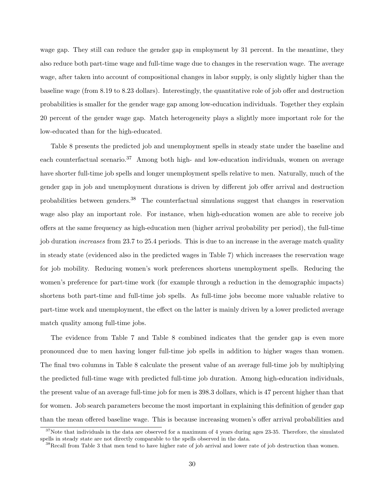wage gap. They still can reduce the gender gap in employment by 31 percent. In the meantime, they also reduce both part-time wage and full-time wage due to changes in the reservation wage. The average wage, after taken into account of compositional changes in labor supply, is only slightly higher than the baseline wage (from 8.19 to 8.23 dollars). Interestingly, the quantitative role of job offer and destruction probabilities is smaller for the gender wage gap among low-education individuals. Together they explain 20 percent of the gender wage gap. Match heterogeneity plays a slightly more important role for the low-educated than for the high-educated.

Table 8 presents the predicted job and unemployment spells in steady state under the baseline and each counterfactual scenario.<sup>37</sup> Among both high- and low-education individuals, women on average have shorter full-time job spells and longer unemployment spells relative to men. Naturally, much of the gender gap in job and unemployment durations is driven by different job offer arrival and destruction probabilities between genders.<sup>38</sup> The counterfactual simulations suggest that changes in reservation wage also play an important role. For instance, when high-education women are able to receive job offers at the same frequency as high-education men (higher arrival probability per period), the full-time job duration increases from 23.7 to 25.4 periods. This is due to an increase in the average match quality in steady state (evidenced also in the predicted wages in Table 7) which increases the reservation wage for job mobility. Reducing women's work preferences shortens unemployment spells. Reducing the women's preference for part-time work (for example through a reduction in the demographic impacts) shortens both part-time and full-time job spells. As full-time jobs become more valuable relative to part-time work and unemployment, the effect on the latter is mainly driven by a lower predicted average match quality among full-time jobs.

The evidence from Table 7 and Table 8 combined indicates that the gender gap is even more pronounced due to men having longer full-time job spells in addition to higher wages than women. The final two columns in Table 8 calculate the present value of an average full-time job by multiplying the predicted full-time wage with predicted full-time job duration. Among high-education individuals, the present value of an average full-time job for men is 398.3 dollars, which is 47 percent higher than that for women. Job search parameters become the most important in explaining this definition of gender gap than the mean offered baseline wage. This is because increasing women's offer arrival probabilities and

 $37$ Note that individuals in the data are observed for a maximum of 4 years during ages 23-35. Therefore, the simulated spells in steady state are not directly comparable to the spells observed in the data.

<sup>&</sup>lt;sup>38</sup>Recall from Table 3 that men tend to have higher rate of job arrival and lower rate of job destruction than women.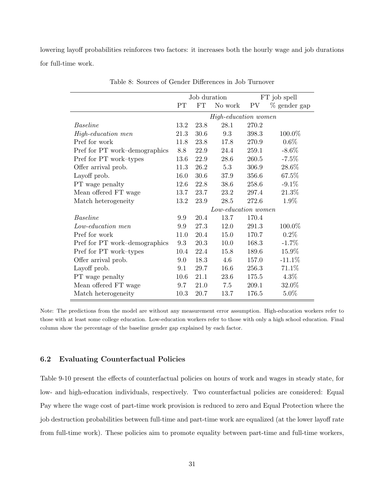lowering layoff probabilities reinforces two factors: it increases both the hourly wage and job durations for full-time work.

|                               | Job duration |                      |                     | FT job spell |                |  |
|-------------------------------|--------------|----------------------|---------------------|--------------|----------------|--|
|                               | <b>PT</b>    | FT                   | No work             | PV           | $%$ gender gap |  |
|                               |              | High-education women |                     |              |                |  |
| <i>Baseline</i>               | 13.2         | 23.8                 | 28.1                | 270.2        |                |  |
| High-education men            | 21.3         | 30.6                 | 9.3                 | 398.3        | $100.0\%$      |  |
| Pref for work                 | 11.8         | 23.8                 | 17.8                | 270.9        | $0.6\%$        |  |
| Pref for PT work-demographics | 8.8          | 22.9                 | 24.4                | 259.1        | $-8.6\%$       |  |
| Pref for PT work-types        | 13.6         | 22.9                 | 28.6                | 260.5        | $-7.5\%$       |  |
| Offer arrival prob.           | 11.3         | 26.2                 | 5.3                 | 306.9        | 28.6%          |  |
| Layoff prob.                  | 16.0         | 30.6                 | 37.9                | 356.6        | 67.5%          |  |
| PT wage penalty               | 12.6         | 22.8                 | 38.6                | 258.6        | $-9.1\%$       |  |
| Mean offered FT wage          | 13.7         | 23.7                 | 23.2                | 297.4        | 21.3%          |  |
| Match heterogeneity           | 13.2         | 23.9                 | 28.5                | 272.6        | 1.9%           |  |
|                               |              |                      | Low-education women |              |                |  |
| Baseline                      | 9.9          | 20.4                 | 13.7                | 170.4        |                |  |
| Low-education men             | 9.9          | 27.3                 | 12.0                | 291.3        | 100.0%         |  |
| Pref for work                 | 11.0         | 20.4                 | 15.0                | 170.7        | 0.2%           |  |
| Pref for PT work-demographics | 9.3          | 20.3                 | 10.0                | 168.3        | $-1.7%$        |  |
| Pref for PT work-types        | 10.4         | 22.4                 | 15.8                | 189.6        | 15.9%          |  |
| Offer arrival prob.           | 9.0          | 18.3                 | 4.6                 | 157.0        | $-11.1%$       |  |
| Layoff prob.                  | 9.1          | 29.7                 | 16.6                | 256.3        | 71.1%          |  |
| PT wage penalty               | 10.6         | 21.1                 | 23.6                | 175.5        | $4.3\%$        |  |
| Mean offered FT wage          | 9.7          | 21.0                 | 7.5                 | 209.1        | 32.0%          |  |
| Match heterogeneity           | 10.3         | 20.7                 | 13.7                | 176.5        | 5.0%           |  |

Table 8: Sources of Gender Differences in Job Turnover

Note: The predictions from the model are without any measurement error assumption. High-education workers refer to those with at least some college education. Low-education workers refer to those with only a high school education. Final column show the percentage of the baseline gender gap explained by each factor.

### 6.2 Evaluating Counterfactual Policies

Table 9-10 present the effects of counterfactual policies on hours of work and wages in steady state, for low- and high-education individuals, respectively. Two counterfactual policies are considered: Equal Pay where the wage cost of part-time work provision is reduced to zero and Equal Protection where the job destruction probabilities between full-time and part-time work are equalized (at the lower layoff rate from full-time work). These policies aim to promote equality between part-time and full-time workers,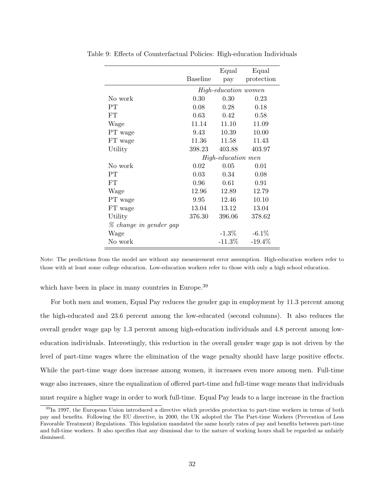|                        | <b>Baseline</b> | Equal                       | Equal      |
|------------------------|-----------------|-----------------------------|------------|
|                        |                 | pay                         | protection |
|                        |                 | <i>High-education women</i> |            |
| No work                | 0.30            | 0.30                        | 0.23       |
| <b>PT</b>              | 0.08            | 0.28                        | 0.18       |
| FT                     | 0.63            | 0.42                        | 0.58       |
| Wage                   | 11.14           | 11.10                       | 11.09      |
| PT wage                | 9.43            | 10.39                       | 10.00      |
| FT wage                | 11.36           | 11.58                       | 11.43      |
| Utility                | 398.23          | 403.88                      | 403.97     |
|                        |                 | <i>High-education men</i>   |            |
| No work                | 0.02            | 0.05                        | 0.01       |
| <b>PT</b>              | 0.03            | 0.34                        | 0.08       |
| FT                     | 0.96            | 0.61                        | 0.91       |
| Wage                   | 12.96           | 12.89                       | 12.79      |
| PT wage                | 9.95            | 12.46                       | 10.10      |
| FT wage                | 13.04           | 13.12                       | 13.04      |
| Utility                | 376.30          | 396.06                      | 378.62     |
| % change in gender gap |                 |                             |            |
| Wage                   |                 | $-1.3\%$                    | $-6.1\%$   |
| No work                |                 | $-11.3\%$                   | $-19.4\%$  |

Table 9: Effects of Counterfactual Policies: High-education Individuals

which have been in place in many countries in Europe.<sup>39</sup>

For both men and women, Equal Pay reduces the gender gap in employment by 11.3 percent among the high-educated and 23.6 percent among the low-educated (second columns). It also reduces the overall gender wage gap by 1.3 percent among high-education individuals and 4.8 percent among loweducation individuals. Interestingly, this reduction in the overall gender wage gap is not driven by the level of part-time wages where the elimination of the wage penalty should have large positive effects. While the part-time wage does increase among women, it increases even more among men. Full-time wage also increases, since the equalization of offered part-time and full-time wage means that individuals must require a higher wage in order to work full-time. Equal Pay leads to a large increase in the fraction

Note: The predictions from the model are without any measurement error assumption. High-education workers refer to those with at least some college education. Low-education workers refer to those with only a high school education.

<sup>&</sup>lt;sup>39</sup>In 1997, the European Union introduced a directive which provides protection to part-time workers in terms of both pay and benefits. Following the EU directive, in 2000, the UK adopted the The Part-time Workers (Prevention of Less Favorable Treatment) Regulations. This legislation mandated the same hourly rates of pay and benefits between part-time and full-time workers. It also specifies that any dismissal due to the nature of working hours shall be regarded as unfairly dismissed.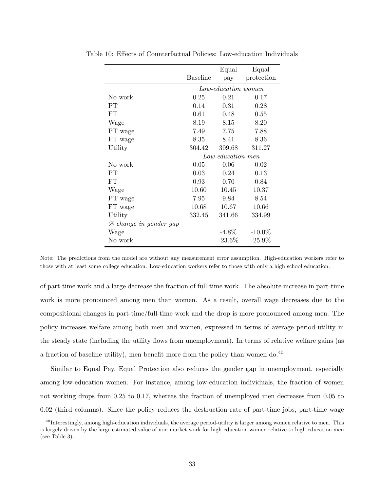|                        | Baseline | Equal<br>pay        | Equal<br>protection |
|------------------------|----------|---------------------|---------------------|
|                        |          | Low-education women |                     |
| No work                |          | 0.21                |                     |
|                        | 0.25     |                     | 0.17                |
| PТ                     | 0.14     | 0.31                | 0.28                |
| FT                     | 0.61     | 0.48                | 0.55                |
| Wage                   | 8.19     | 8.15                | 8.20                |
| PT wage                | 7.49     | 7.75                | 7.88                |
| FT wage                | 8.35     | 8.41                | 8.36                |
| Utility                | 304.42   | 309.68              | 311.27              |
|                        |          | Low-education men   |                     |
| No work                | 0.05     | 0.06                | 0.02                |
| PT                     | 0.03     | 0.24                | 0.13                |
| FT                     | 0.93     | 0.70                | 0.84                |
| Wage                   | 10.60    | 10.45               | 10.37               |
| PT wage                | 7.95     | 9.84                | 8.54                |
| FT wage                | 10.68    | 10.67               | 10.66               |
| Utility                | 332.45   | 341.66              | 334.99              |
| % change in gender gap |          |                     |                     |
| Wage                   |          | $-4.8\%$            | $-10.0\%$           |
| No work                |          | $-23.6\%$           | $-25.9\%$           |

Table 10: Effects of Counterfactual Policies: Low-education Individuals

Note: The predictions from the model are without any measurement error assumption. High-education workers refer to those with at least some college education. Low-education workers refer to those with only a high school education.

of part-time work and a large decrease the fraction of full-time work. The absolute increase in part-time work is more pronounced among men than women. As a result, overall wage decreases due to the compositional changes in part-time/full-time work and the drop is more pronounced among men. The policy increases welfare among both men and women, expressed in terms of average period-utility in the steady state (including the utility flows from unemployment). In terms of relative welfare gains (as a fraction of baseline utility), men benefit more from the policy than women do.<sup>40</sup>

Similar to Equal Pay, Equal Protection also reduces the gender gap in unemployment, especially among low-education women. For instance, among low-education individuals, the fraction of women not working drops from 0.25 to 0.17, whereas the fraction of unemployed men decreases from 0.05 to 0.02 (third columns). Since the policy reduces the destruction rate of part-time jobs, part-time wage

<sup>&</sup>lt;sup>40</sup>Interestingly, among high-education individuals, the average period-utility is larger among women relative to men. This is largely driven by the large estimated value of non-market work for high-education women relative to high-education men (see Table 3).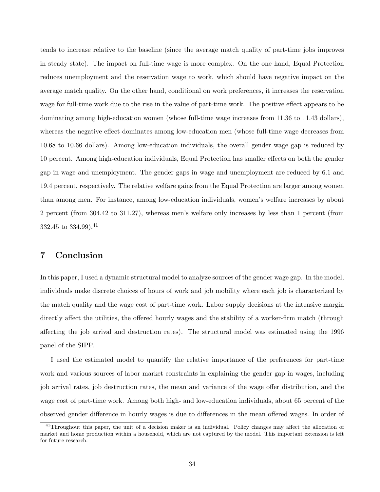tends to increase relative to the baseline (since the average match quality of part-time jobs improves in steady state). The impact on full-time wage is more complex. On the one hand, Equal Protection reduces unemployment and the reservation wage to work, which should have negative impact on the average match quality. On the other hand, conditional on work preferences, it increases the reservation wage for full-time work due to the rise in the value of part-time work. The positive effect appears to be dominating among high-education women (whose full-time wage increases from 11.36 to 11.43 dollars), whereas the negative effect dominates among low-education men (whose full-time wage decreases from 10.68 to 10.66 dollars). Among low-education individuals, the overall gender wage gap is reduced by 10 percent. Among high-education individuals, Equal Protection has smaller effects on both the gender gap in wage and unemployment. The gender gaps in wage and unemployment are reduced by 6.1 and 19.4 percent, respectively. The relative welfare gains from the Equal Protection are larger among women than among men. For instance, among low-education individuals, women's welfare increases by about 2 percent (from 304.42 to 311.27), whereas men's welfare only increases by less than 1 percent (from 332.45 to  $334.99$ ).<sup>41</sup>

# 7 Conclusion

In this paper, I used a dynamic structural model to analyze sources of the gender wage gap. In the model, individuals make discrete choices of hours of work and job mobility where each job is characterized by the match quality and the wage cost of part-time work. Labor supply decisions at the intensive margin directly affect the utilities, the offered hourly wages and the stability of a worker-firm match (through affecting the job arrival and destruction rates). The structural model was estimated using the 1996 panel of the SIPP.

I used the estimated model to quantify the relative importance of the preferences for part-time work and various sources of labor market constraints in explaining the gender gap in wages, including job arrival rates, job destruction rates, the mean and variance of the wage offer distribution, and the wage cost of part-time work. Among both high- and low-education individuals, about 65 percent of the observed gender difference in hourly wages is due to differences in the mean offered wages. In order of

<sup>&</sup>lt;sup>41</sup>Throughout this paper, the unit of a decision maker is an individual. Policy changes may affect the allocation of market and home production within a household, which are not captured by the model. This important extension is left for future research.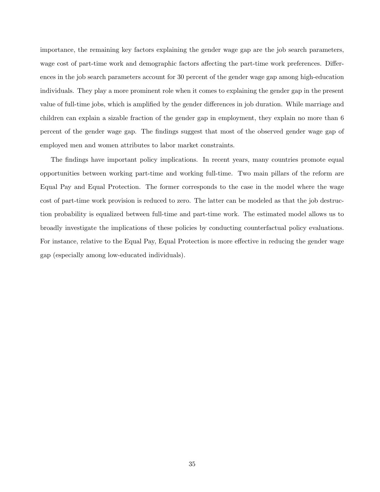importance, the remaining key factors explaining the gender wage gap are the job search parameters, wage cost of part-time work and demographic factors affecting the part-time work preferences. Differences in the job search parameters account for 30 percent of the gender wage gap among high-education individuals. They play a more prominent role when it comes to explaining the gender gap in the present value of full-time jobs, which is amplified by the gender differences in job duration. While marriage and children can explain a sizable fraction of the gender gap in employment, they explain no more than 6 percent of the gender wage gap. The findings suggest that most of the observed gender wage gap of employed men and women attributes to labor market constraints.

The findings have important policy implications. In recent years, many countries promote equal opportunities between working part-time and working full-time. Two main pillars of the reform are Equal Pay and Equal Protection. The former corresponds to the case in the model where the wage cost of part-time work provision is reduced to zero. The latter can be modeled as that the job destruction probability is equalized between full-time and part-time work. The estimated model allows us to broadly investigate the implications of these policies by conducting counterfactual policy evaluations. For instance, relative to the Equal Pay, Equal Protection is more effective in reducing the gender wage gap (especially among low-educated individuals).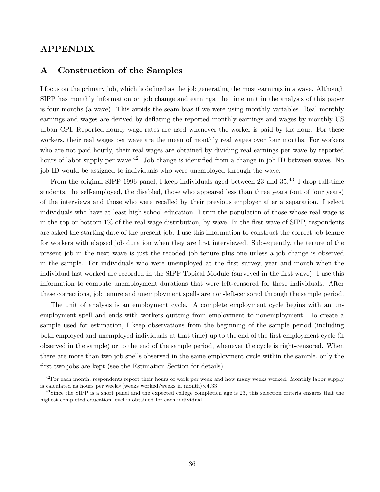# APPENDIX

# A Construction of the Samples

I focus on the primary job, which is defined as the job generating the most earnings in a wave. Although SIPP has monthly information on job change and earnings, the time unit in the analysis of this paper is four months (a wave). This avoids the seam bias if we were using monthly variables. Real monthly earnings and wages are derived by deflating the reported monthly earnings and wages by monthly US urban CPI. Reported hourly wage rates are used whenever the worker is paid by the hour. For these workers, their real wages per wave are the mean of monthly real wages over four months. For workers who are not paid hourly, their real wages are obtained by dividing real earnings per wave by reported hours of labor supply per wave.<sup>42</sup>. Job change is identified from a change in job ID between waves. No job ID would be assigned to individuals who were unemployed through the wave.

From the original SIPP 1996 panel, I keep individuals aged between 23 and 35.<sup>43</sup> I drop full-time students, the self-employed, the disabled, those who appeared less than three years (out of four years) of the interviews and those who were recalled by their previous employer after a separation. I select individuals who have at least high school education. I trim the population of those whose real wage is in the top or bottom 1% of the real wage distribution, by wave. In the first wave of SIPP, respondents are asked the starting date of the present job. I use this information to construct the correct job tenure for workers with elapsed job duration when they are first interviewed. Subsequently, the tenure of the present job in the next wave is just the recoded job tenure plus one unless a job change is observed in the sample. For individuals who were unemployed at the first survey, year and month when the individual last worked are recorded in the SIPP Topical Module (surveyed in the first wave). I use this information to compute unemployment durations that were left-censored for these individuals. After these corrections, job tenure and unemployment spells are non-left-censored through the sample period.

The unit of analysis is an employment cycle. A complete employment cycle begins with an unemployment spell and ends with workers quitting from employment to nonemployment. To create a sample used for estimation, I keep observations from the beginning of the sample period (including both employed and unemployed individuals at that time) up to the end of the first employment cycle (if observed in the sample) or to the end of the sample period, whenever the cycle is right-censored. When there are more than two job spells observed in the same employment cycle within the sample, only the first two jobs are kept (see the Estimation Section for details).

 $42$  For each month, respondents report their hours of work per week and how many weeks worked. Monthly labor supply is calculated as hours per week×(weeks worked/weeks in month) $\times4.33$ 

 $43\text{Since the SIPP is a short panel and the expected college completion age is 23, this selection criteria ensures that the$ highest completed education level is obtained for each individual.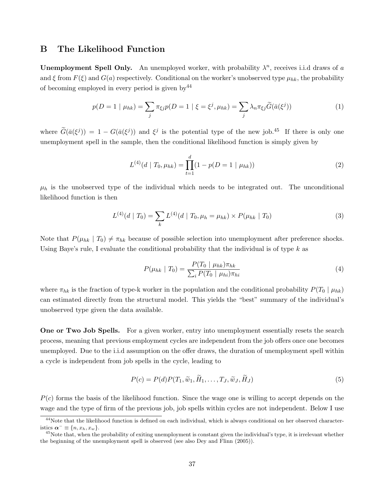# B The Likelihood Function

**Unemployment Spell Only.** An unemployed worker, with probability  $\lambda^n$ , receives i.i.d draws of a and  $\xi$  from  $F(\xi)$  and  $G(a)$  respectively. Conditional on the worker's unobserved type  $\mu_{hk}$ , the probability of becoming employed in every period is given by  $44$ 

$$
p(D = 1 | \mu_{hk}) = \sum_j \pi_{\xi j} p(D = 1 | \xi = \xi^j, \mu_{hk}) = \sum_j \lambda_n \pi_{\xi j} \widetilde{G}(\bar{a}(\xi^j))
$$
(1)

where  $\tilde{G}(\bar{a}(\xi^j)) = 1 - G(\bar{a}(\xi^j))$  and  $\xi^j$  is the potential type of the new job.<sup>45</sup> If there is only one unemployment spell in the sample, then the conditional likelihood function is simply given by

$$
L^{(4)}(d | T_0, \mu_{hk}) = \prod_{t=1}^d (1 - p(D = 1 | \mu_{hk}))
$$
\n(2)

 $\mu_h$  is the unobserved type of the individual which needs to be integrated out. The unconditional likelihood function is then

$$
L^{(4)}(d \mid T_0) = \sum_{k} L^{(4)}(d \mid T_0, \mu_h = \mu_{hk}) \times P(\mu_{hk} \mid T_0)
$$
\n(3)

Note that  $P(\mu_{hk} | T_0) \neq \pi_{hk}$  because of possible selection into unemployment after preference shocks. Using Baye's rule, I evaluate the conditional probability that the individual is of type  $k$  as

$$
P(\mu_{hk} \mid T_0) = \frac{P(T_0 \mid \mu_{hk})\pi_{hk}}{\sum_i P(T_0 \mid \mu_{hi})\pi_{hi}}
$$
(4)

where  $\pi_{hk}$  is the fraction of type-k worker in the population and the conditional probability  $P(T_0 | \mu_{hk})$ can estimated directly from the structural model. This yields the "best" summary of the individual's unobserved type given the data available.

One or Two Job Spells. For a given worker, entry into unemployment essentially resets the search process, meaning that previous employment cycles are independent from the job offers once one becomes unemployed. Due to the i.i.d assumption on the offer draws, the duration of unemployment spell within a cycle is independent from job spells in the cycle, leading to

$$
P(c) = P(d)P(T_1, \widetilde{w}_1, \widetilde{H}_1, \dots, T_J, \widetilde{w}_J, \widetilde{H}_J)
$$
\n<sup>(5)</sup>

 $P(c)$  forms the basis of the likelihood function. Since the wage one is willing to accept depends on the wage and the type of firm of the previous job, job spells within cycles are not independent. Below I use

<sup>&</sup>lt;sup>44</sup>Note that the likelihood function is defined on each individual, which is always conditional on her observed characteristics  $\alpha^- \equiv \{n, x_h, x_w\}.$ 

 $45$ Note that, when the probability of exiting unemployment is constant given the individual's type, it is irrelevant whether the beginning of the unemployment spell is observed (see also Dey and Flinn (2005)).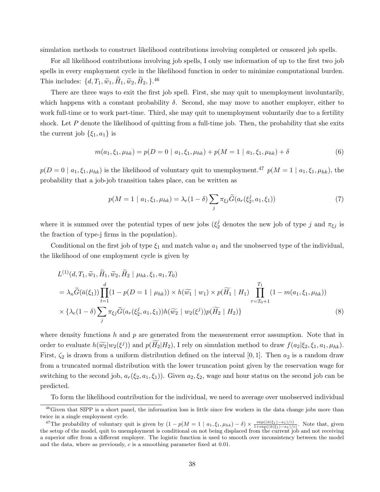simulation methods to construct likelihood contributions involving completed or censored job spells.

For all likelihood contributions involving job spells, I only use information of up to the first two job spells in every employment cycle in the likelihood function in order to minimize computational burden. This includes:  $\{d, T_1, \widetilde{w}_1, \widetilde{H}_1, \widetilde{w}_2, \widetilde{H}_2, \}.$ <sup>46</sup>

There are three ways to exit the first job spell. First, she may quit to unemployment involuntarily, which happens with a constant probability  $\delta$ . Second, she may move to another employer, either to work full-time or to work part-time. Third, she may quit to unemployment voluntarily due to a fertility shock. Let  $P$  denote the likelihood of quitting from a full-time job. Then, the probability that she exits the current job  $\{\xi_1, a_1\}$  is

$$
m(a_1, \xi_1, \mu_{hk}) = p(D = 0 \mid a_1, \xi_1, \mu_{hk}) + p(M = 1 \mid a_1, \xi_1, \mu_{hk}) + \delta
$$
\n(6)

 $p(D = 0 \mid a_1, \xi_1, \mu_{hk})$  is the likelihood of voluntary quit to unemployment.<sup>47</sup>  $p(M = 1 \mid a_1, \xi_1, \mu_{hk})$ , the probability that a job-job transition takes place, can be written as

$$
p(M = 1 | a_1, \xi_1, \mu_{hk}) = \lambda_e (1 - \delta) \sum_j \pi_{\xi j} \widetilde{G}(a_r(\xi_2^j, a_1, \xi_1))
$$
\n(7)

where it is summed over the potential types of new jobs  $(\xi_2^j)$ <sup>*j*</sup> denotes the new job of type *j* and  $\pi_{\xi j}$  is the fraction of type-j firms in the population).

Conditional on the first job of type  $\xi_1$  and match value  $a_1$  and the unobserved type of the individual, the likelihood of one employment cycle is given by

$$
L^{(1)}(d, T_1, \widetilde{w}_1, \widetilde{H}_1, \widetilde{w}_2, \widetilde{H}_2 | \mu_{hk}, \xi_1, a_1, T_0)
$$
  
=  $\lambda_n \widetilde{G}(\bar{a}(\xi_1)) \prod_{t=1}^d (1 - p(D = 1 | \mu_{hk})) \times h(\widetilde{w}_1 | w_1) \times p(\widetilde{H}_1 | H_1) \prod_{\tau = T_0 + 1}^{T_1} (1 - m(a_1, \xi_1, \mu_{hk}))$   
 $\times \{\lambda_e(1 - \delta) \sum_j \pi_{\xi j} \widetilde{G}(a_r(\xi_2^j, a_1, \xi_1)) h(\widetilde{w}_2 | w_2(\xi^j)) p(\widetilde{H}_2 | H_2)\}$  (8)

where density functions  $h$  and  $p$  are generated from the measurement error assumption. Note that in order to evaluate  $h(\widetilde{w_2}|w_2(\xi^j))$  and  $p(\widetilde{H_2}|H_2)$ , I rely on simulation method to draw  $f(a_2|\xi_2, \xi_1, a_1, \mu_{hk})$ . First,  $\zeta_2$  is drawn from a uniform distribution defined on the interval [0, 1]. Then  $a_2$  is a random draw from a truncated normal distribution with the lower truncation point given by the reservation wage for switching to the second job,  $a_r(\xi_2, a_1, \xi_1)$ . Given  $a_2, \xi_2$ , wage and hour status on the second job can be predicted.

To form the likelihood contribution for the individual, we need to average over unobserved individual

 $^{46}$ Given that SIPP is a short panel, the information loss is little since few workers in the data change jobs more than twice in a single employment cycle.

<sup>&</sup>lt;sup>47</sup>The probability of voluntary quit is given by  $(1 - p(M = 1 \mid a_1, \xi_1, \mu_{hk}) - \delta) \times \frac{\exp((\bar{a}(\xi_1) - a_1)/c)}{1 + \exp((\bar{a}(\xi_1) - a_1)/c)}$ . Note that, given the setup of the model, quit to unemployment is conditional on not being displaced from the current job and not receiving a superior offer from a different employer. The logistic function is used to smooth over inconsistency between the model and the data, where as previously, c is a smoothing parameter fixed at 0.01.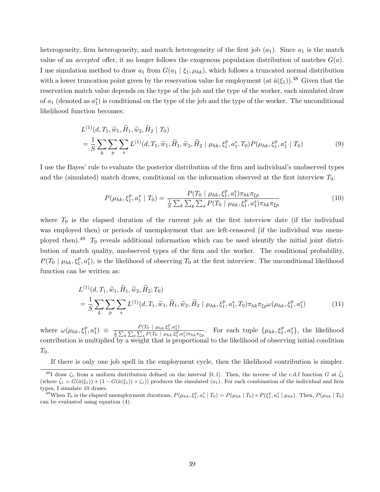heterogeneity, firm heterogeneity, and match heterogeneity of the first job  $(a_1)$ . Since  $a_1$  is the match value of an *accepted* offer, it no longer follows the exogenous population distribution of matches  $G(a)$ . I use simulation method to draw  $a_1$  from  $G(a_1 | \xi_1, \mu_{hk})$ , which follows a truncated normal distribution with a lower truncation point given by the reservation value for employment (at  $\bar{a}(\xi_1)$ ).<sup>48</sup> Given that the reservation match value depends on the type of the job and the type of the worker, each simulated draw of  $a_1$  (denoted as  $a_1^s$ ) is conditional on the type of the job and the type of the worker. The unconditional likelihood function becomes:

$$
L^{(1)}(d, T_1, \widetilde{w}_1, \widetilde{H}_1, \widetilde{w}_2, \widetilde{H}_2 | T_0)
$$
  
=  $\frac{1}{S} \sum_{k} \sum_{p} \sum_{s} L^{(1)}(d, T_1, \widetilde{w}_1, \widetilde{H}_1, \widetilde{w}_2, \widetilde{H}_2 | \mu_{hk}, \xi_1^p, a_1^s, T_0) P(\mu_{hk}, \xi_1^p, a_1^s | T_0)$  (9)

I use the Bayes' rule to evaluate the posterior distribution of the firm and individual's unobserved types and the (simulated) match draws, conditional on the information observed at the first interview  $T_0$ :

$$
P(\mu_{hk}, \xi_1^p, a_1^s | T_0) = \frac{P(T_0 | \mu_{hk}, \xi_1^p, a_1^s) \pi_{hk} \pi_{\xi p}}{\frac{1}{S} \sum_k \sum_p \sum_s P(T_0 | \mu_{hk}, \xi_1^p, a_1^s) \pi_{hk} \pi_{\xi p}}
$$
(10)

where  $T_0$  is the elapsed duration of the current job at the first interview date (if the individual was employed then) or periods of unemployment that are left-censored (if the individual was unemployed then).<sup>49</sup>  $T_0$  reveals additional information which can be used identify the initial joint distribution of match quality, unobserved types of the firm and the worker. The conditional probability,  $P(T_0 | \mu_{hk}, \xi_1^p, a_1^s)$ , is the likelihood of observing  $T_0$  at the first interview. The unconditional likelihood function can be written as:

$$
L^{(1)}(d, T_1, \tilde{w}_1, \tilde{H}_1, \tilde{w}_2, \tilde{H}_2; T_0)
$$
  
=  $\frac{1}{S} \sum_{k} \sum_{p} \sum_{s} L^{(1)}(d, T_1, \tilde{w}_1, \tilde{H}_1, \tilde{w}_2, \tilde{H}_2 | \mu_{hk}, \xi_1^p, a_1^s, T_0) \pi_{hk} \pi_{\xi p} \omega(\mu_{hk}, \xi_1^p, a_1^s)$  (11)

where  $\omega(\mu_{hk}, \xi_1^p, a_1^s) \equiv \frac{P(T_0 \mid \mu_{hk}, \xi_1^p, a_1^s)}{\frac{1}{S} \sum_k \sum_p \sum_s P(T_0 \mid \mu_{hk}, \xi_1^p, a_1^s) \pi_{hk} \pi_{\xi_p}}$ . For each tuple  $\{\mu_{hk}, \xi_1^p, a_1^s\}$ , the likelihood contribution is multiplied by a weight that is proportional to the likelihood of observing initial condition  $T_0$ .

If there is only one job spell in the employment cycle, then the likelihood contribution is simpler.

<sup>&</sup>lt;sup>48</sup>I draw  $\zeta_1$  from a uniform distribution defined on the interval [0,1]. Then, the inverse of the c.d.f function G at  $\tilde{\zeta}_1$ (where  $\zeta_1 = G(\bar{a}(\xi_1)) + (1 - G(\bar{a}(\xi_1)) \times \zeta_1)$ ) produces the simulated  $(a_1)$ . For each combination of the individual and firm types, I simulate 10 draws.

<sup>&</sup>lt;sup>49</sup>When  $T_0$  is the elapsed unemployment durations,  $P(\mu_{hk}, \xi_1^p, a_1^s | T_0) = P(\mu_{hk} | T_0) \times P(\xi_1^p, a_1^s | \mu_{hk})$ . Then,  $P(\mu_{hk} | T_0)$ can be evaluated using equation (4).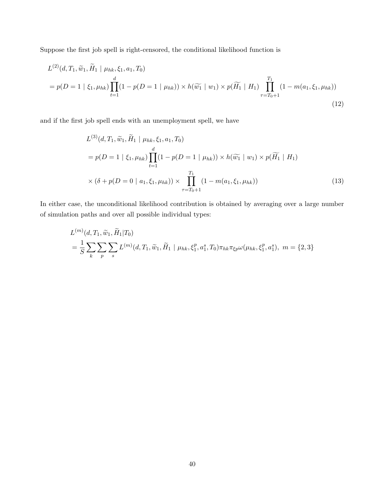Suppose the first job spell is right-censored, the conditional likelihood function is

$$
L^{(2)}(d, T_1, \widetilde{w}_1, \widetilde{H}_1 | \mu_{hk}, \xi_1, a_1, T_0)
$$
  
=  $p(D = 1 | \xi_1, \mu_{hk}) \prod_{t=1}^d (1 - p(D = 1 | \mu_{hk})) \times h(\widetilde{w}_1 | w_1) \times p(\widetilde{H}_1 | H_1) \prod_{\tau = T_0 + 1}^{T_1} (1 - m(a_1, \xi_1, \mu_{hk}))$  (12)

and if the first job spell ends with an unemployment spell, we have

$$
L^{(3)}(d, T_1, \widetilde{w}_1, \widetilde{H}_1 | \mu_{hk}, \xi_1, a_1, T_0)
$$
  
=  $p(D = 1 | \xi_1, \mu_{hk}) \prod_{t=1}^d (1 - p(D = 1 | \mu_{hk})) \times h(\widetilde{w}_1 | w_1) \times p(\widetilde{H}_1 | H_1)$   
 $\times (\delta + p(D = 0 | a_1, \xi_1, \mu_{hk})) \times \prod_{\tau = T_0 + 1}^{T_1} (1 - m(a_1, \xi_1, \mu_{hk}))$  (13)

In either case, the unconditional likelihood contribution is obtained by averaging over a large number of simulation paths and over all possible individual types:

$$
L^{(m)}(d, T_1, \widetilde{w}_1, \widetilde{H}_1 | T_0)
$$
  
=  $\frac{1}{S} \sum_k \sum_p \sum_s L^{(m)}(d, T_1, \widetilde{w}_1, \widetilde{H}_1 | \mu_{hk}, \xi_1^p, a_1^s, T_0) \pi_{hk} \pi_{\xi p} \omega(\mu_{hk}, \xi_1^p, a_1^s), \ m = \{2, 3\}$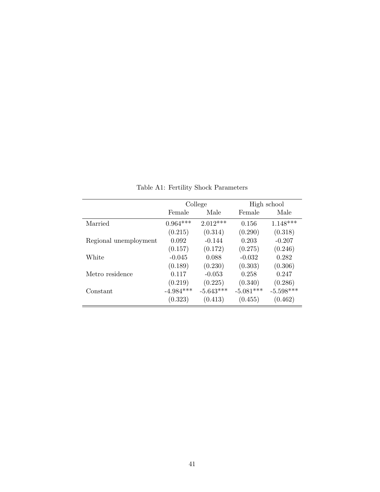|                       |             | College     |             | High school |
|-----------------------|-------------|-------------|-------------|-------------|
|                       | Female      | Male        | Female      | Male        |
| Married               | $0.964***$  | $2.012***$  | 0.156       | $1.148***$  |
|                       | (0.215)     | (0.314)     | (0.290)     | (0.318)     |
| Regional unemployment | 0.092       | $-0.144$    | 0.203       | $-0.207$    |
|                       | (0.157)     | (0.172)     | (0.275)     | (0.246)     |
| White                 | $-0.045$    | 0.088       | $-0.032$    | 0.282       |
|                       | (0.189)     | (0.230)     | (0.303)     | (0.306)     |
| Metro residence       | 0.117       | $-0.053$    | 0.258       | 0.247       |
|                       | (0.219)     | (0.225)     | (0.340)     | (0.286)     |
| Constant              | $-4.984***$ | $-5.643***$ | $-5.081***$ | $-5.598***$ |
|                       | (0.323)     | (0.413)     | (0.455)     | (0.462)     |

Table A1: Fertility Shock Parameters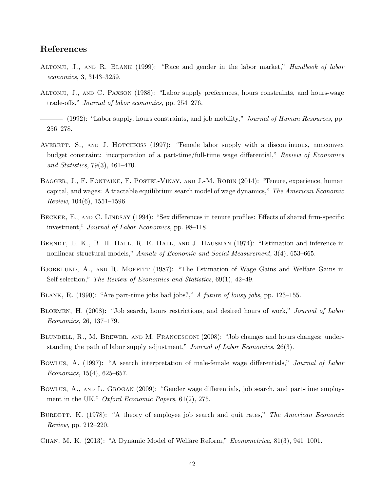# References

- ALTONJI, J., AND R. BLANK (1999): "Race and gender in the labor market," *Handbook of labor* economics, 3, 3143–3259.
- Altonji, J., and C. Paxson (1988): "Labor supply preferences, hours constraints, and hours-wage trade-offs," Journal of labor economics, pp. 254–276.
- (1992): "Labor supply, hours constraints, and job mobility," *Journal of Human Resources*, pp. 256–278.
- AVERETT, S., AND J. HOTCHKISS (1997): "Female labor supply with a discontinuous, nonconvex budget constraint: incorporation of a part-time/full-time wage differential," Review of Economics and Statistics, 79(3), 461–470.
- Bagger, J., F. Fontaine, F. Postel-Vinay, and J.-M. Robin (2014): "Tenure, experience, human capital, and wages: A tractable equilibrium search model of wage dynamics," The American Economic Review,  $104(6)$ ,  $1551-1596$ .
- BECKER, E., AND C. LINDSAY (1994): "Sex differences in tenure profiles: Effects of shared firm-specific investment," Journal of Labor Economics, pp. 98–118.
- BERNDT, E. K., B. H. HALL, R. E. HALL, AND J. HAUSMAN (1974): "Estimation and inference in nonlinear structural models," Annals of Economic and Social Measurement, 3(4), 653–665.
- BJORKLUND, A., AND R. MOFFITT (1987): "The Estimation of Wage Gains and Welfare Gains in Self-selection," The Review of Economics and Statistics, 69(1), 42–49.
- BLANK, R. (1990): "Are part-time jobs bad jobs?," A future of lousy jobs, pp. 123–155.
- Bloemen, H. (2008): "Job search, hours restrictions, and desired hours of work," Journal of Labor Economics, 26, 137–179.
- BLUNDELL, R., M. BREWER, AND M. FRANCESCONI (2008): "Job changes and hours changes: understanding the path of labor supply adjustment," Journal of Labor Economics, 26(3).
- Bowlus, A. (1997): "A search interpretation of male-female wage differentials," Journal of Labor Economics, 15(4), 625–657.
- Bowlus, A., and L. Grogan (2009): "Gender wage differentials, job search, and part-time employment in the UK," Oxford Economic Papers, 61(2), 275.
- BURDETT, K. (1978): "A theory of employee job search and quit rates," The American Economic Review, pp. 212–220.
- Chan, M. K. (2013): "A Dynamic Model of Welfare Reform," Econometrica, 81(3), 941–1001.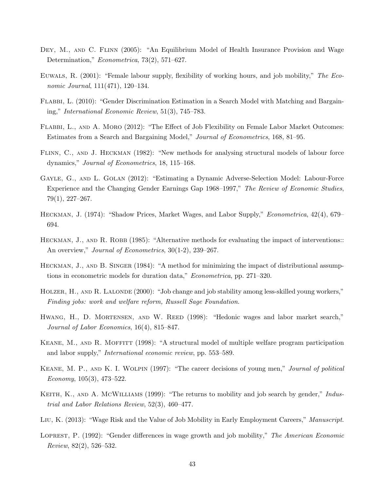- DEY, M., AND C. FLINN (2005): "An Equilibrium Model of Health Insurance Provision and Wage Determination," *Econometrica*, 73(2), 571–627.
- Euwals, R. (2001): "Female labour supply, flexibility of working hours, and job mobility," The Economic Journal, 111(471), 120–134.
- Flabbi, L. (2010): "Gender Discrimination Estimation in a Search Model with Matching and Bargaining," International Economic Review, 51(3), 745–783.
- Flabbi, L., and A. Moro (2012): "The Effect of Job Flexibility on Female Labor Market Outcomes: Estimates from a Search and Bargaining Model," Journal of Econometrics, 168, 81–95.
- FLINN, C., AND J. HECKMAN (1982): "New methods for analysing structural models of labour force dynamics," Journal of Econometrics, 18, 115–168.
- Gayle, G., and L. Golan (2012): "Estimating a Dynamic Adverse-Selection Model: Labour-Force Experience and the Changing Gender Earnings Gap 1968–1997," The Review of Economic Studies, 79(1), 227–267.
- HECKMAN, J. (1974): "Shadow Prices, Market Wages, and Labor Supply," *Econometrica*, 42(4), 679– 694.
- HECKMAN, J., AND R. ROBB (1985): "Alternative methods for evaluating the impact of interventions:: An overview," *Journal of Econometrics*, 30(1-2), 239–267.
- HECKMAN, J., AND B. SINGER (1984): "A method for minimizing the impact of distributional assumptions in econometric models for duration data," Econometrica, pp. 271–320.
- HOLZER, H., AND R. LALONDE (2000): "Job change and job stability among less-skilled young workers," Finding jobs: work and welfare reform, Russell Sage Foundation.
- HWANG, H., D. MORTENSEN, AND W. REED (1998): "Hedonic wages and labor market search," Journal of Labor Economics, 16(4), 815–847.
- KEANE, M., AND R. MOFFITT (1998): "A structural model of multiple welfare program participation and labor supply," International economic review, pp. 553–589.
- KEANE, M. P., AND K. I. WOLPIN (1997): "The career decisions of young men," *Journal of political* Economy, 105(3), 473–522.
- KEITH, K., AND A. MCWILLIAMS (1999): "The returns to mobility and job search by gender," Industrial and Labor Relations Review, 52(3), 460–477.
- LIU, K. (2013): "Wage Risk and the Value of Job Mobility in Early Employment Careers," Manuscript.
- LOPREST, P. (1992): "Gender differences in wage growth and job mobility," The American Economic Review, 82(2), 526–532.